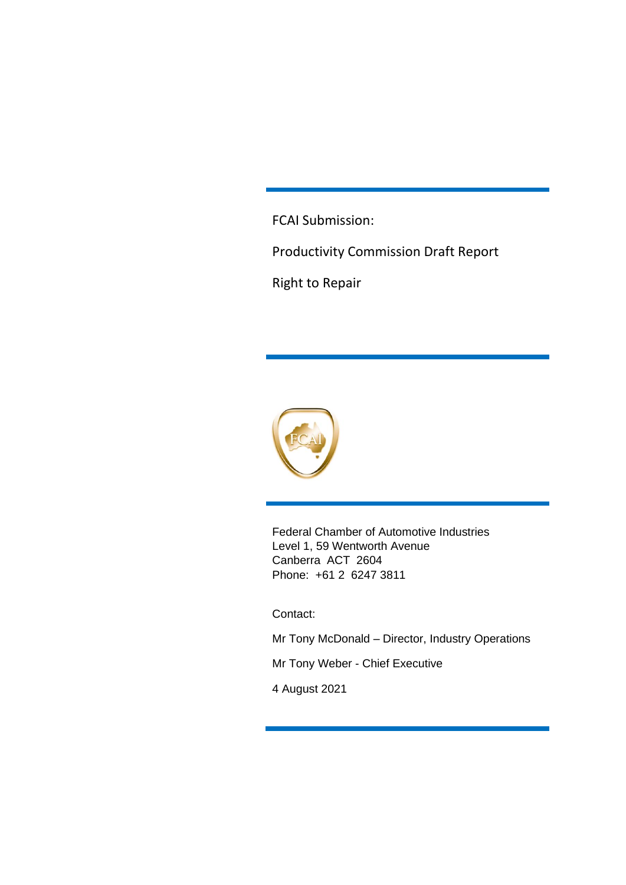FCAI Submission:

Productivity Commission Draft Report

Right to Repair



Federal Chamber of Automotive Industries Level 1, 59 Wentworth Avenue Canberra ACT 2604 Phone: +61 2 6247 3811

Contact:

Mr Tony McDonald – Director, Industry Operations

Mr Tony Weber - Chief Executive

4 August 2021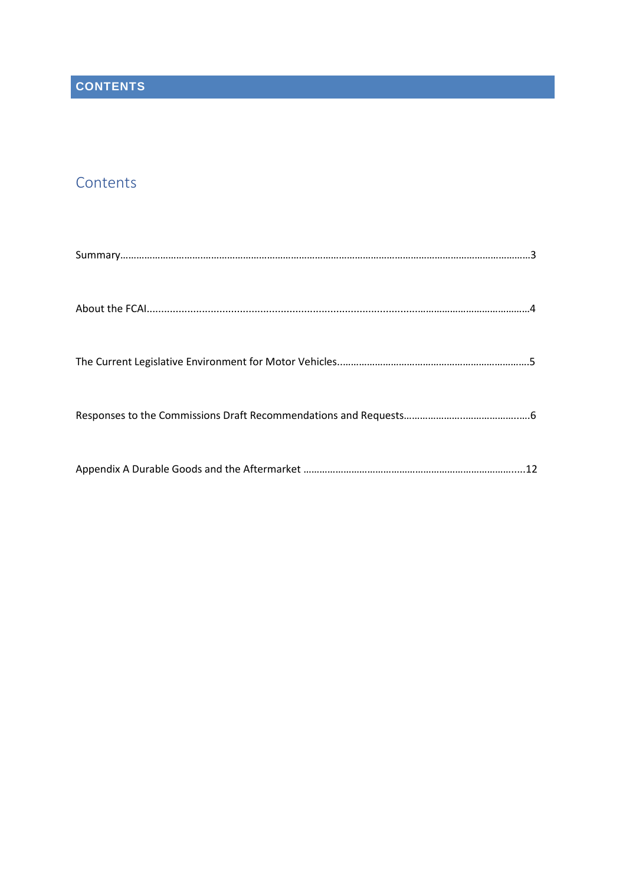# **Contents**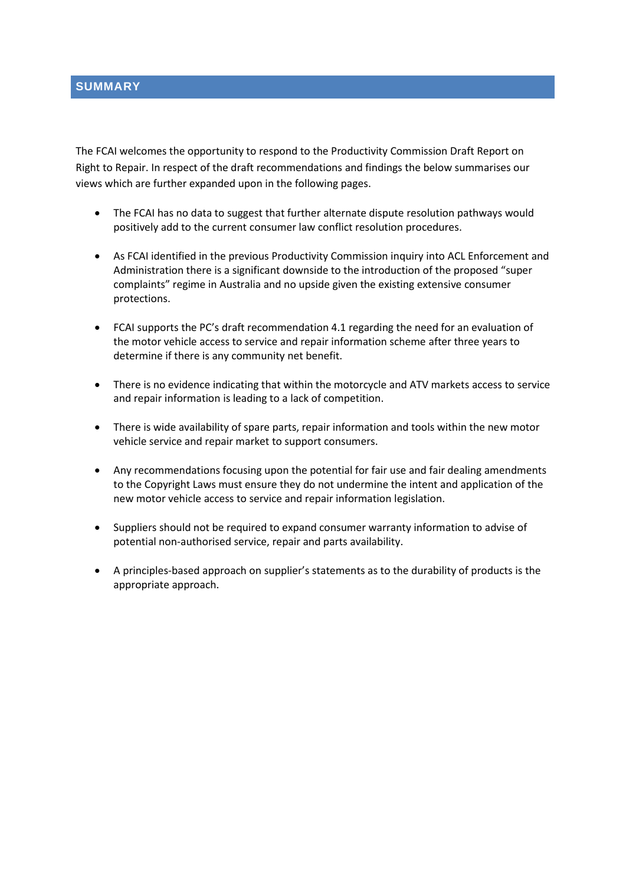The FCAI welcomes the opportunity to respond to the Productivity Commission Draft Report on Right to Repair. In respect of the draft recommendations and findings the below summarises our views which are further expanded upon in the following pages.

- The FCAI has no data to suggest that further alternate dispute resolution pathways would positively add to the current consumer law conflict resolution procedures.
- As FCAI identified in the previous Productivity Commission inquiry into ACL Enforcement and Administration there is a significant downside to the introduction of the proposed "super complaints" regime in Australia and no upside given the existing extensive consumer protections.
- FCAI supports the PC's draft recommendation 4.1 regarding the need for an evaluation of the motor vehicle access to service and repair information scheme after three years to determine if there is any community net benefit.
- There is no evidence indicating that within the motorcycle and ATV markets access to service and repair information is leading to a lack of competition.
- There is wide availability of spare parts, repair information and tools within the new motor vehicle service and repair market to support consumers.
- Any recommendations focusing upon the potential for fair use and fair dealing amendments to the Copyright Laws must ensure they do not undermine the intent and application of the new motor vehicle access to service and repair information legislation.
- Suppliers should not be required to expand consumer warranty information to advise of potential non-authorised service, repair and parts availability.
- A principles-based approach on supplier's statements as to the durability of products is the appropriate approach.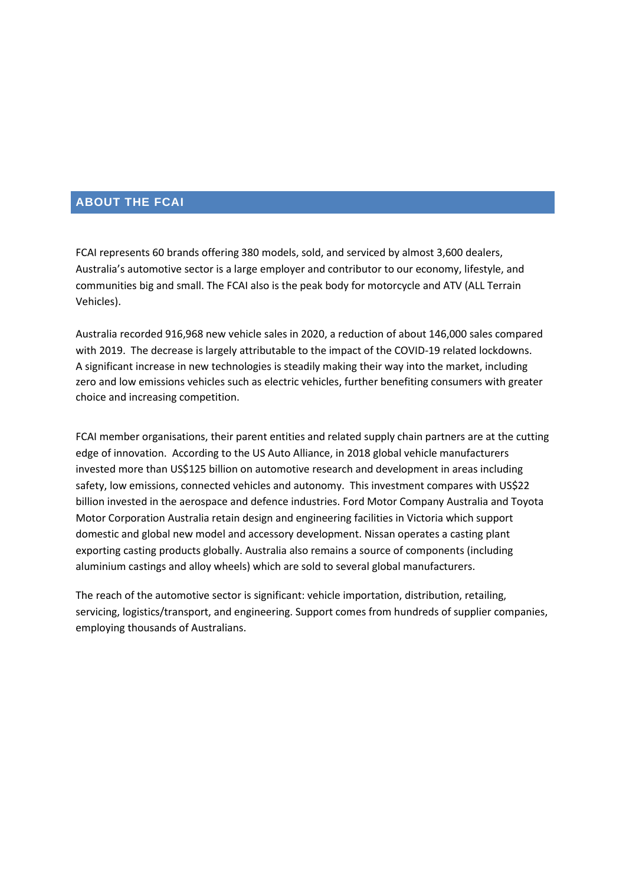## **ABOUT THE FCAI**

FCAI represents 60 brands offering 380 models, sold, and serviced by almost 3,600 dealers, Australia's automotive sector is a large employer and contributor to our economy, lifestyle, and communities big and small. The FCAI also is the peak body for motorcycle and ATV (ALL Terrain Vehicles).

Australia recorded 916,968 new vehicle sales in 2020, a reduction of about 146,000 sales compared with 2019. The decrease is largely attributable to the impact of the COVID-19 related lockdowns. A significant increase in new technologies is steadily making their way into the market, including zero and low emissions vehicles such as electric vehicles, further benefiting consumers with greater choice and increasing competition.

FCAI member organisations, their parent entities and related supply chain partners are at the cutting edge of innovation. According to the US Auto Alliance, in 2018 global vehicle manufacturers invested more than US\$125 billion on automotive research and development in areas including safety, low emissions, connected vehicles and autonomy. This investment compares with US\$22 billion invested in the aerospace and defence industries. Ford Motor Company Australia and Toyota Motor Corporation Australia retain design and engineering facilities in Victoria which support domestic and global new model and accessory development. Nissan operates a casting plant exporting casting products globally. Australia also remains a source of components (including aluminium castings and alloy wheels) which are sold to several global manufacturers.

The reach of the automotive sector is significant: vehicle importation, distribution, retailing, servicing, logistics/transport, and engineering. Support comes from hundreds of supplier companies, employing thousands of Australians.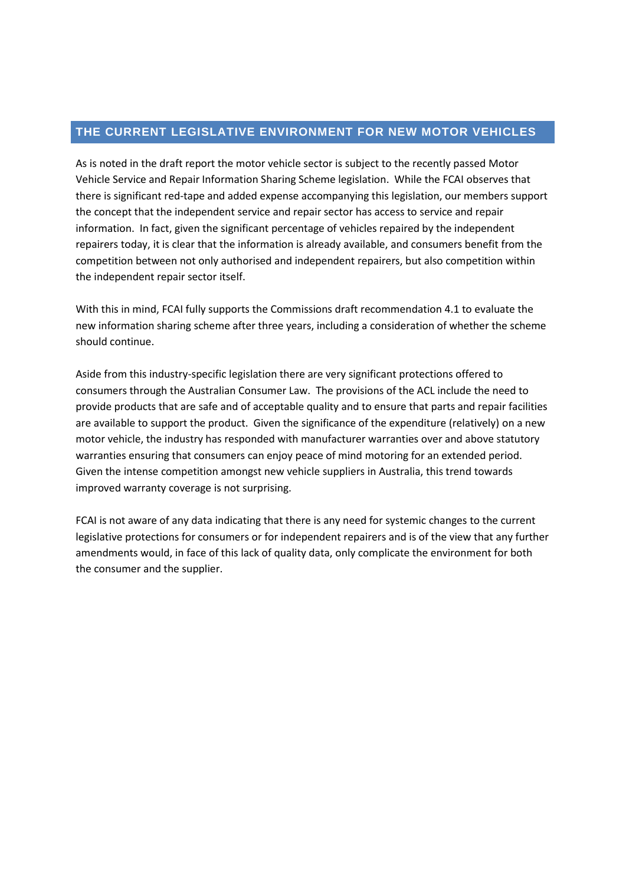## **THE CURRENT LEGISLATIVE ENVIRONMENT FOR NEW MOTOR VEHICLES**

As is noted in the draft report the motor vehicle sector is subject to the recently passed Motor Vehicle Service and Repair Information Sharing Scheme legislation. While the FCAI observes that there is significant red-tape and added expense accompanying this legislation, our members support the concept that the independent service and repair sector has access to service and repair information. In fact, given the significant percentage of vehicles repaired by the independent repairers today, it is clear that the information is already available, and consumers benefit from the competition between not only authorised and independent repairers, but also competition within the independent repair sector itself.

With this in mind, FCAI fully supports the Commissions draft recommendation 4.1 to evaluate the new information sharing scheme after three years, including a consideration of whether the scheme should continue.

Aside from this industry-specific legislation there are very significant protections offered to consumers through the Australian Consumer Law. The provisions of the ACL include the need to provide products that are safe and of acceptable quality and to ensure that parts and repair facilities are available to support the product. Given the significance of the expenditure (relatively) on a new motor vehicle, the industry has responded with manufacturer warranties over and above statutory warranties ensuring that consumers can enjoy peace of mind motoring for an extended period. Given the intense competition amongst new vehicle suppliers in Australia, this trend towards improved warranty coverage is not surprising.

FCAI is not aware of any data indicating that there is any need for systemic changes to the current legislative protections for consumers or for independent repairers and is of the view that any further amendments would, in face of this lack of quality data, only complicate the environment for both the consumer and the supplier.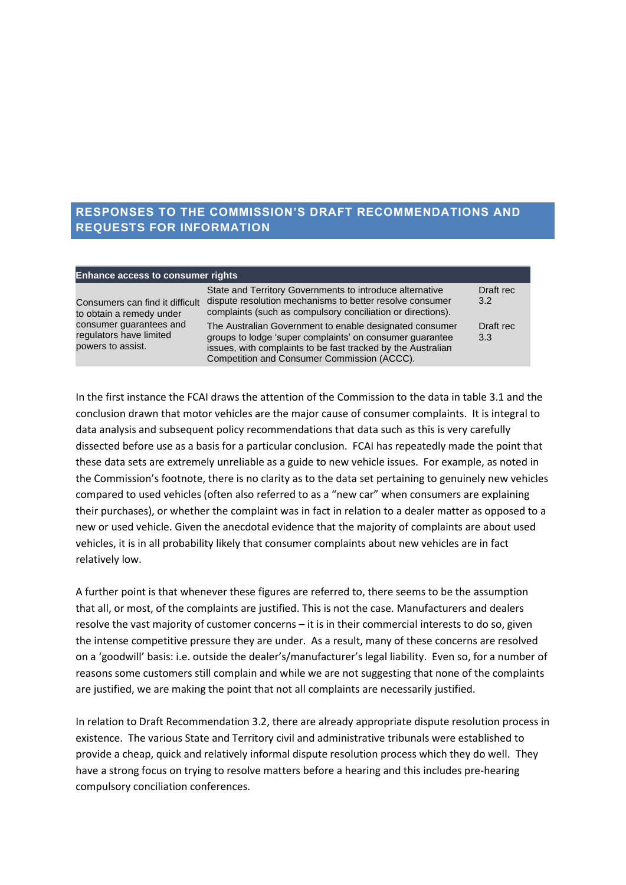## **RESPONSES TO THE COMMISSION'S DRAFT RECOMMENDATIONS AND REQUESTS FOR INFORMATION**

| <b>Enhance access to consumer rights</b>                                |                                                                                                                                                                                                                                    |                            |
|-------------------------------------------------------------------------|------------------------------------------------------------------------------------------------------------------------------------------------------------------------------------------------------------------------------------|----------------------------|
| Consumers can find it difficult<br>to obtain a remedy under             | State and Territory Governments to introduce alternative<br>dispute resolution mechanisms to better resolve consumer<br>complaints (such as compulsory conciliation or directions).                                                | Draft rec<br>$3.2^{\circ}$ |
| consumer guarantees and<br>regulators have limited<br>powers to assist. | The Australian Government to enable designated consumer<br>groups to lodge 'super complaints' on consumer guarantee<br>issues, with complaints to be fast tracked by the Australian<br>Competition and Consumer Commission (ACCC). | Draft rec<br>3.3           |

In the first instance the FCAI draws the attention of the Commission to the data in table 3.1 and the conclusion drawn that motor vehicles are the major cause of consumer complaints. It is integral to data analysis and subsequent policy recommendations that data such as this is very carefully dissected before use as a basis for a particular conclusion. FCAI has repeatedly made the point that these data sets are extremely unreliable as a guide to new vehicle issues. For example, as noted in the Commission's footnote, there is no clarity as to the data set pertaining to genuinely new vehicles compared to used vehicles (often also referred to as a "new car" when consumers are explaining their purchases), or whether the complaint was in fact in relation to a dealer matter as opposed to a new or used vehicle. Given the anecdotal evidence that the majority of complaints are about used vehicles, it is in all probability likely that consumer complaints about new vehicles are in fact relatively low.

A further point is that whenever these figures are referred to, there seems to be the assumption that all, or most, of the complaints are justified. This is not the case. Manufacturers and dealers resolve the vast majority of customer concerns – it is in their commercial interests to do so, given the intense competitive pressure they are under. As a result, many of these concerns are resolved on a 'goodwill' basis: i.e. outside the dealer's/manufacturer's legal liability. Even so, for a number of reasons some customers still complain and while we are not suggesting that none of the complaints are justified, we are making the point that not all complaints are necessarily justified.

In relation to Draft Recommendation 3.2, there are already appropriate dispute resolution process in existence. The various State and Territory civil and administrative tribunals were established to provide a cheap, quick and relatively informal dispute resolution process which they do well. They have a strong focus on trying to resolve matters before a hearing and this includes pre-hearing compulsory conciliation conferences.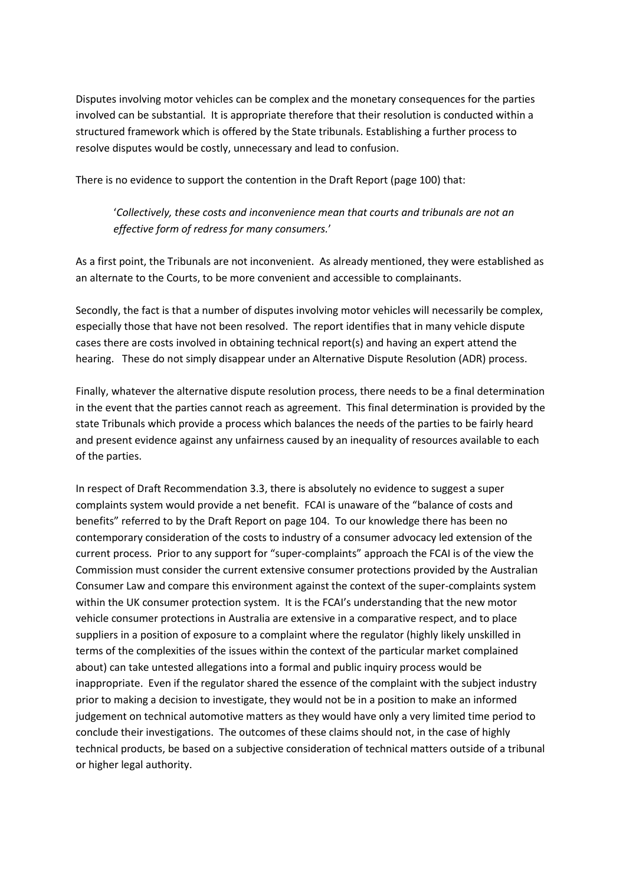Disputes involving motor vehicles can be complex and the monetary consequences for the parties involved can be substantial. It is appropriate therefore that their resolution is conducted within a structured framework which is offered by the State tribunals. Establishing a further process to resolve disputes would be costly, unnecessary and lead to confusion.

There is no evidence to support the contention in the Draft Report (page 100) that:

'*Collectively, these costs and inconvenience mean that courts and tribunals are not an effective form of redress for many consumers.*'

As a first point, the Tribunals are not inconvenient. As already mentioned, they were established as an alternate to the Courts, to be more convenient and accessible to complainants.

Secondly, the fact is that a number of disputes involving motor vehicles will necessarily be complex, especially those that have not been resolved. The report identifies that in many vehicle dispute cases there are costs involved in obtaining technical report(s) and having an expert attend the hearing. These do not simply disappear under an Alternative Dispute Resolution (ADR) process.

Finally, whatever the alternative dispute resolution process, there needs to be a final determination in the event that the parties cannot reach as agreement. This final determination is provided by the state Tribunals which provide a process which balances the needs of the parties to be fairly heard and present evidence against any unfairness caused by an inequality of resources available to each of the parties.

In respect of Draft Recommendation 3.3, there is absolutely no evidence to suggest a super complaints system would provide a net benefit. FCAI is unaware of the "balance of costs and benefits" referred to by the Draft Report on page 104. To our knowledge there has been no contemporary consideration of the costs to industry of a consumer advocacy led extension of the current process. Prior to any support for "super-complaints" approach the FCAI is of the view the Commission must consider the current extensive consumer protections provided by the Australian Consumer Law and compare this environment against the context of the super-complaints system within the UK consumer protection system. It is the FCAI's understanding that the new motor vehicle consumer protections in Australia are extensive in a comparative respect, and to place suppliers in a position of exposure to a complaint where the regulator (highly likely unskilled in terms of the complexities of the issues within the context of the particular market complained about) can take untested allegations into a formal and public inquiry process would be inappropriate. Even if the regulator shared the essence of the complaint with the subject industry prior to making a decision to investigate, they would not be in a position to make an informed judgement on technical automotive matters as they would have only a very limited time period to conclude their investigations. The outcomes of these claims should not, in the case of highly technical products, be based on a subjective consideration of technical matters outside of a tribunal or higher legal authority.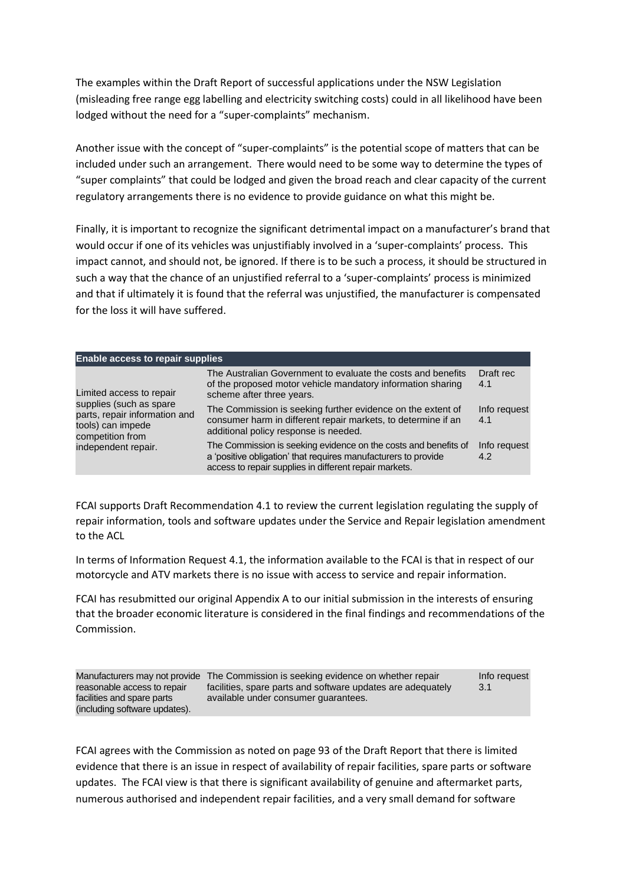The examples within the Draft Report of successful applications under the NSW Legislation (misleading free range egg labelling and electricity switching costs) could in all likelihood have been lodged without the need for a "super-complaints" mechanism.

Another issue with the concept of "super-complaints" is the potential scope of matters that can be included under such an arrangement. There would need to be some way to determine the types of "super complaints" that could be lodged and given the broad reach and clear capacity of the current regulatory arrangements there is no evidence to provide guidance on what this might be.

Finally, it is important to recognize the significant detrimental impact on a manufacturer's brand that would occur if one of its vehicles was unjustifiably involved in a 'super-complaints' process. This impact cannot, and should not, be ignored. If there is to be such a process, it should be structured in such a way that the chance of an unjustified referral to a 'super-complaints' process is minimized and that if ultimately it is found that the referral was unjustified, the manufacturer is compensated for the loss it will have suffered.

| <b>Enable access to repair supplies</b>                                                                                                              |                                                                                                                                                                                             |                     |
|------------------------------------------------------------------------------------------------------------------------------------------------------|---------------------------------------------------------------------------------------------------------------------------------------------------------------------------------------------|---------------------|
| Limited access to repair<br>supplies (such as spare<br>parts, repair information and<br>tools) can impede<br>competition from<br>independent repair. | The Australian Government to evaluate the costs and benefits<br>of the proposed motor vehicle mandatory information sharing<br>scheme after three years.                                    | Draft rec<br>4.1    |
|                                                                                                                                                      | The Commission is seeking further evidence on the extent of<br>consumer harm in different repair markets, to determine if an<br>additional policy response is needed.                       | Info request<br>4.1 |
|                                                                                                                                                      | The Commission is seeking evidence on the costs and benefits of<br>a 'positive obligation' that requires manufacturers to provide<br>access to repair supplies in different repair markets. | Info request<br>4.2 |

FCAI supports Draft Recommendation 4.1 to review the current legislation regulating the supply of repair information, tools and software updates under the Service and Repair legislation amendment to the ACL

In terms of Information Request 4.1, the information available to the FCAI is that in respect of our motorcycle and ATV markets there is no issue with access to service and repair information.

FCAI has resubmitted our original Appendix A to our initial submission in the interests of ensuring that the broader economic literature is considered in the final findings and recommendations of the Commission.

| reasonable access to repair                                 | Manufacturers may not provide The Commission is seeking evidence on whether repair<br>facilities, spare parts and software updates are adequately | Info request<br>3.1 |
|-------------------------------------------------------------|---------------------------------------------------------------------------------------------------------------------------------------------------|---------------------|
| facilities and spare parts<br>(including software updates). | available under consumer quarantees.                                                                                                              |                     |

FCAI agrees with the Commission as noted on page 93 of the Draft Report that there is limited evidence that there is an issue in respect of availability of repair facilities, spare parts or software updates. The FCAI view is that there is significant availability of genuine and aftermarket parts, numerous authorised and independent repair facilities, and a very small demand for software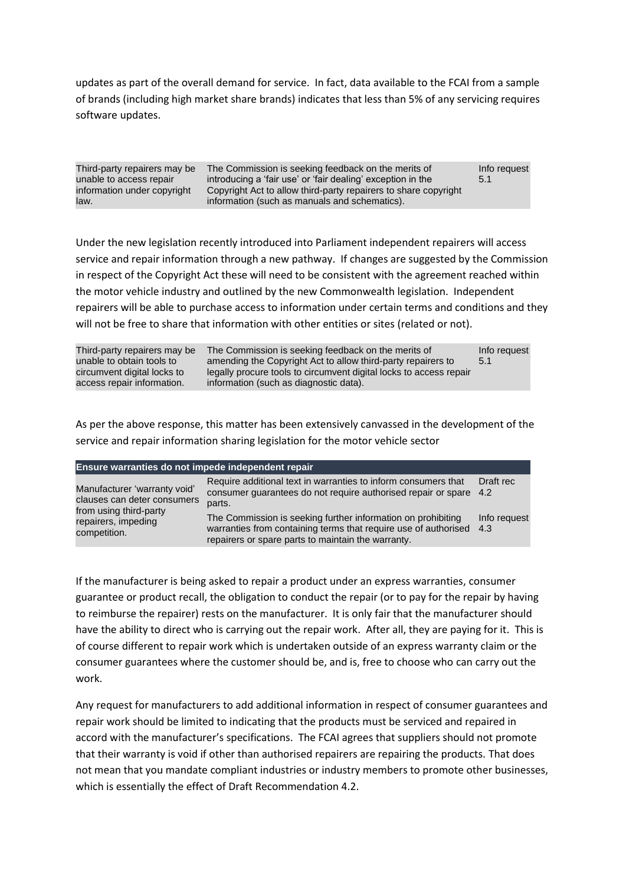updates as part of the overall demand for service. In fact, data available to the FCAI from a sample of brands (including high market share brands) indicates that less than 5% of any servicing requires software updates.

| Third-party repairers may be<br>unable to access repair<br>information under copyright | The Commission is seeking feedback on the merits of<br>introducing a 'fair use' or 'fair dealing' exception in the<br>Copyright Act to allow third-party repairers to share copyright | Info request<br>5.1 |
|----------------------------------------------------------------------------------------|---------------------------------------------------------------------------------------------------------------------------------------------------------------------------------------|---------------------|
| law.                                                                                   | information (such as manuals and schematics).                                                                                                                                         |                     |

Under the new legislation recently introduced into Parliament independent repairers will access service and repair information through a new pathway. If changes are suggested by the Commission in respect of the Copyright Act these will need to be consistent with the agreement reached within the motor vehicle industry and outlined by the new Commonwealth legislation. Independent repairers will be able to purchase access to information under certain terms and conditions and they will not be free to share that information with other entities or sites (related or not).

| Third-party repairers may be<br>unable to obtain tools to<br>circumvent digital locks to | The Commission is seeking feedback on the merits of<br>amending the Copyright Act to allow third-party repairers to<br>legally procure tools to circumvent digital locks to access repair | Info request<br>-5.1 |
|------------------------------------------------------------------------------------------|-------------------------------------------------------------------------------------------------------------------------------------------------------------------------------------------|----------------------|
| access repair information.                                                               | information (such as diagnostic data).                                                                                                                                                    |                      |

As per the above response, this matter has been extensively canvassed in the development of the service and repair information sharing legislation for the motor vehicle sector

| Ensure warranties do not impede independent repair                                                                           |                                                                                                                                                                                       |                     |  |
|------------------------------------------------------------------------------------------------------------------------------|---------------------------------------------------------------------------------------------------------------------------------------------------------------------------------------|---------------------|--|
| Manufacturer 'warranty void'<br>clauses can deter consumers<br>from using third-party<br>repairers, impeding<br>competition. | Require additional text in warranties to inform consumers that<br>consumer guarantees do not require authorised repair or spare 4.2<br>parts.                                         | Draft rec           |  |
|                                                                                                                              | The Commission is seeking further information on prohibiting<br>warranties from containing terms that require use of authorised<br>repairers or spare parts to maintain the warranty. | Info request<br>4.3 |  |

If the manufacturer is being asked to repair a product under an express warranties, consumer guarantee or product recall, the obligation to conduct the repair (or to pay for the repair by having to reimburse the repairer) rests on the manufacturer. It is only fair that the manufacturer should have the ability to direct who is carrying out the repair work. After all, they are paying for it. This is of course different to repair work which is undertaken outside of an express warranty claim or the consumer guarantees where the customer should be, and is, free to choose who can carry out the work.

Any request for manufacturers to add additional information in respect of consumer guarantees and repair work should be limited to indicating that the products must be serviced and repaired in accord with the manufacturer's specifications. The FCAI agrees that suppliers should not promote that their warranty is void if other than authorised repairers are repairing the products. That does not mean that you mandate compliant industries or industry members to promote other businesses, which is essentially the effect of Draft Recommendation 4.2.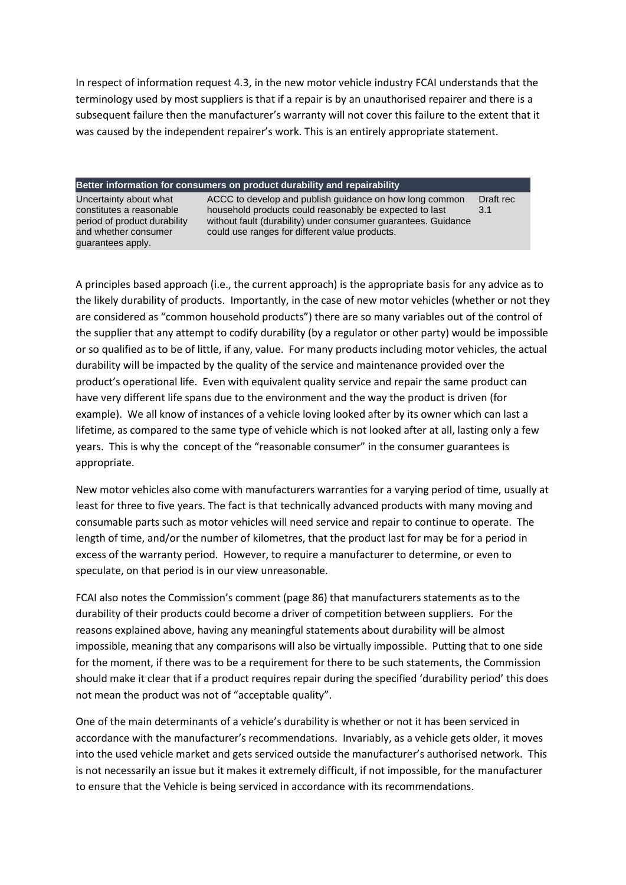In respect of information request 4.3, in the new motor vehicle industry FCAI understands that the terminology used by most suppliers is that if a repair is by an unauthorised repairer and there is a subsequent failure then the manufacturer's warranty will not cover this failure to the extent that it was caused by the independent repairer's work. This is an entirely appropriate statement.

#### **Better information for consumers on product durability and repairability**

Uncertainty about what constitutes a reasonable period of product durability and whether consumer guarantees apply.

ACCC to develop and publish guidance on how long common household products could reasonably be expected to last without fault (durability) under consumer guarantees. Guidance could use ranges for different value products. Draft rec 3.1

A principles based approach (i.e., the current approach) is the appropriate basis for any advice as to the likely durability of products. Importantly, in the case of new motor vehicles (whether or not they are considered as "common household products") there are so many variables out of the control of the supplier that any attempt to codify durability (by a regulator or other party) would be impossible or so qualified as to be of little, if any, value. For many products including motor vehicles, the actual durability will be impacted by the quality of the service and maintenance provided over the product's operational life. Even with equivalent quality service and repair the same product can have very different life spans due to the environment and the way the product is driven (for example). We all know of instances of a vehicle loving looked after by its owner which can last a lifetime, as compared to the same type of vehicle which is not looked after at all, lasting only a few years. This is why the concept of the "reasonable consumer" in the consumer guarantees is appropriate.

New motor vehicles also come with manufacturers warranties for a varying period of time, usually at least for three to five years. The fact is that technically advanced products with many moving and consumable parts such as motor vehicles will need service and repair to continue to operate. The length of time, and/or the number of kilometres, that the product last for may be for a period in excess of the warranty period. However, to require a manufacturer to determine, or even to speculate, on that period is in our view unreasonable.

FCAI also notes the Commission's comment (page 86) that manufacturers statements as to the durability of their products could become a driver of competition between suppliers. For the reasons explained above, having any meaningful statements about durability will be almost impossible, meaning that any comparisons will also be virtually impossible. Putting that to one side for the moment, if there was to be a requirement for there to be such statements, the Commission should make it clear that if a product requires repair during the specified 'durability period' this does not mean the product was not of "acceptable quality".

One of the main determinants of a vehicle's durability is whether or not it has been serviced in accordance with the manufacturer's recommendations. Invariably, as a vehicle gets older, it moves into the used vehicle market and gets serviced outside the manufacturer's authorised network. This is not necessarily an issue but it makes it extremely difficult, if not impossible, for the manufacturer to ensure that the Vehicle is being serviced in accordance with its recommendations.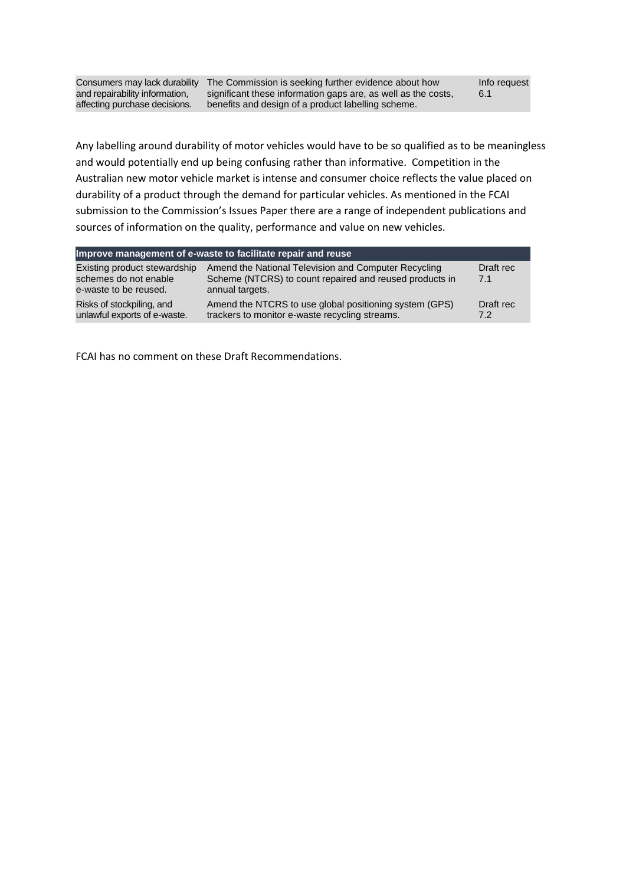and repairability information, affecting purchase decisions.

Consumers may lack durability The Commission is seeking further evidence about how significant these information gaps are, as well as the costs, benefits and design of a product labelling scheme.

Any labelling around durability of motor vehicles would have to be so qualified as to be meaningless and would potentially end up being confusing rather than informative. Competition in the Australian new motor vehicle market is intense and consumer choice reflects the value placed on durability of a product through the demand for particular vehicles. As mentioned in the FCAI submission to the Commission's Issues Paper there are a range of independent publications and sources of information on the quality, performance and value on new vehicles.

| Improve management of e-waste to facilitate repair and reuse                   |                                                                                                                                    |                  |  |
|--------------------------------------------------------------------------------|------------------------------------------------------------------------------------------------------------------------------------|------------------|--|
| Existing product stewardship<br>schemes do not enable<br>e-waste to be reused. | Amend the National Television and Computer Recycling<br>Scheme (NTCRS) to count repaired and reused products in<br>annual targets. | Draft rec<br>7.1 |  |
| Risks of stockpiling, and<br>unlawful exports of e-waste.                      | Amend the NTCRS to use global positioning system (GPS)<br>trackers to monitor e-waste recycling streams.                           | Draft rec<br>7.2 |  |

FCAI has no comment on these Draft Recommendations.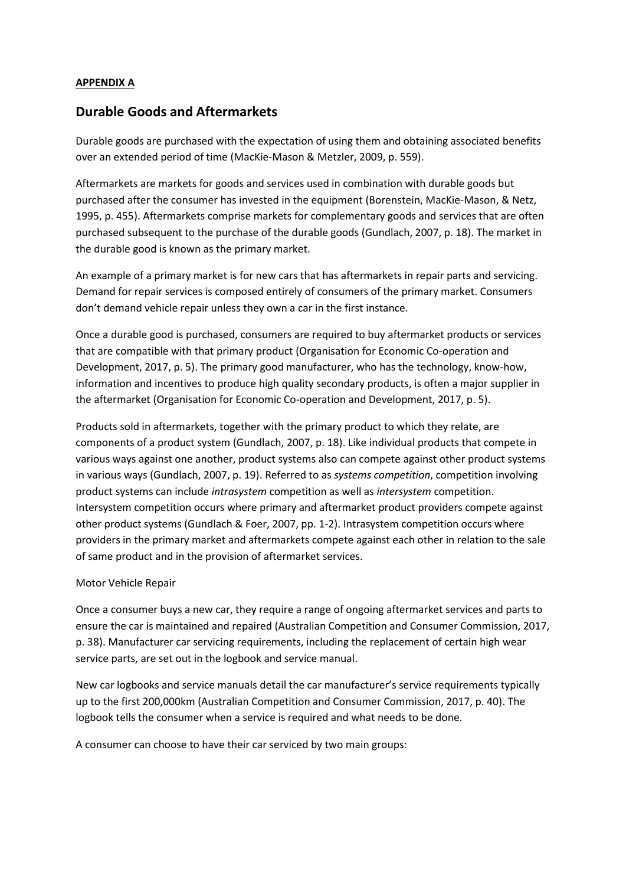#### **APPENDIX A**

## **Durable Goods and Aftermarkets**

Durable goods are purchased with the expectation of using them and obtaining associated benefits over an extended period of time (MacKie-Mason & Metzler, 2009, p. 559).

Aftermarkets are markets for goods and services used in combination with durable goods but purchased after the consumer has invested in the equipment (Borenstein, MacKie-Mason, & Netz, 1995, p. 455). Aftermarkets comprise markets for complementary goods and services that are often purchased subsequent to the purchase of the durable goods (Gundlach, 2007, p. 18). The market in the durable good is known as the primary market.

An example of a primary market is for new cars that has aftermarkets in repair parts and servicing. Demand for repair services is composed entirely of consumers of the primary market. Consumers don't demand vehicle repair unless they own a car in the first instance.

Once a durable good is purchased, consumers are required to buy aftermarket products or services that are compatible with that primary product (Organisation for Economic Co-operation and Development, 2017, p. 5). The primary good manufacturer, who has the technology, know-how, information and incentives to produce high quality secondary products, is often a major supplier in the aftermarket (Organisation for Economic Co-operation and Development, 2017, p. 5).

Products sold in aftermarkets, together with the primary product to which they relate, are components of a product system (Gundlach, 2007, p. 18). Like individual products that compete in various ways against one another, product systems also can compete against other product systems in various ways (Gundlach, 2007, p. 19). Referred to as *systems competition*, competition involving product systems can include *intrasystem* competition as well as *intersystem* competition. Intersystem competition occurs where primary and aftermarket product providers compete against other product systems (Gundlach & Foer, 2007, pp. 1-2). Intrasystem competition occurs where providers in the primary market and aftermarkets compete against each other in relation to the sale of same product and in the provision of aftermarket services.

#### Motor Vehicle Repair

Once a consumer buys a new car, they require a range of ongoing aftermarket services and parts to ensure the car is maintained and repaired (Australian Competition and Consumer Commission, 2017, p. 38). Manufacturer car servicing requirements, including the replacement of certain high wear service parts, are set out in the logbook and service manual.

New car logbooks and service manuals detail the car manufacturer's service requirements typically up to the first 200,000km (Australian Competition and Consumer Commission, 2017, p. 40). The logbook tells the consumer when a service is required and what needs to be done.

A consumer can choose to have their car serviced by two main groups: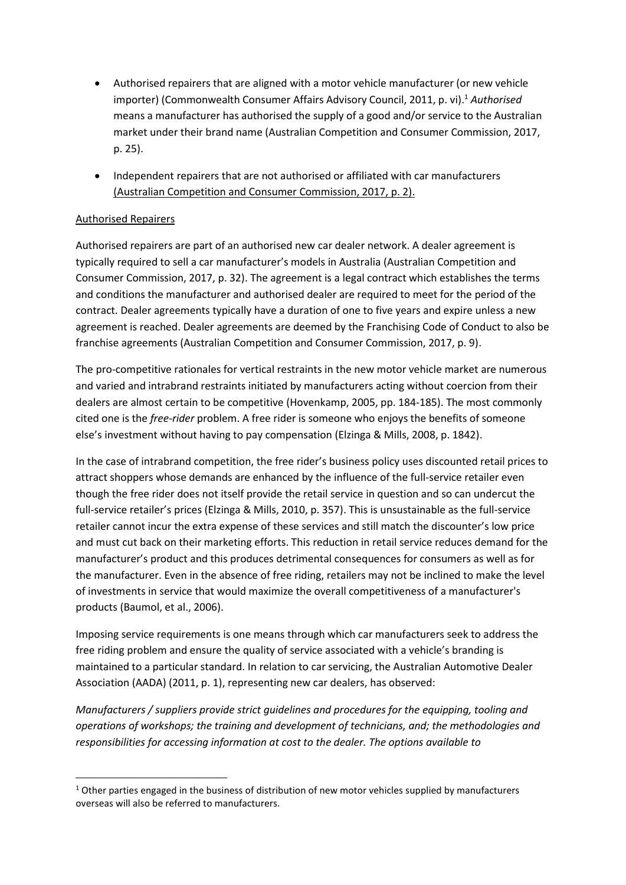- Authorised repairers that are aligned with a motor vehicle manufacturer (or new vehicle importer) (Commonwealth Consumer Affairs Advisory Council, 2011, p. vi). <sup>1</sup> *Authorised* means a manufacturer has authorised the supply of a good and/or service to the Australian market under their brand name (Australian Competition and Consumer Commission, 2017, p. 25).
- Independent repairers that are not authorised or affiliated with car manufacturers (Australian Competition and Consumer Commission, 2017, p. 2).

## Authorised Repairers

Authorised repairers are part of an authorised new car dealer network. A dealer agreement is typically required to sell a car manufacturer's models in Australia (Australian Competition and Consumer Commission, 2017, p. 32). The agreement is a legal contract which establishes the terms and conditions the manufacturer and authorised dealer are required to meet for the period of the contract. Dealer agreements typically have a duration of one to five years and expire unless a new agreement is reached. Dealer agreements are deemed by the Franchising Code of Conduct to also be franchise agreements (Australian Competition and Consumer Commission, 2017, p. 9).

The pro-competitive rationales for vertical restraints in the new motor vehicle market are numerous and varied and intrabrand restraints initiated by manufacturers acting without coercion from their dealers are almost certain to be competitive (Hovenkamp, 2005, pp. 184-185). The most commonly cited one is the *free-rider* problem. A free rider is someone who enjoys the benefits of someone else's investment without having to pay compensation (Elzinga & Mills, 2008, p. 1842).

In the case of intrabrand competition, the free rider's business policy uses discounted retail prices to attract shoppers whose demands are enhanced by the influence of the full-service retailer even though the free rider does not itself provide the retail service in question and so can undercut the full-service retailer's prices (Elzinga & Mills, 2010, p. 357). This is unsustainable as the full-service retailer cannot incur the extra expense of these services and still match the discounter's low price and must cut back on their marketing efforts. This reduction in retail service reduces demand for the manufacturer's product and this produces detrimental consequences for consumers as well as for the manufacturer. Even in the absence of free riding, retailers may not be inclined to make the level of investments in service that would maximize the overall competitiveness of a manufacturer's products (Baumol, et al., 2006).

Imposing service requirements is one means through which car manufacturers seek to address the free riding problem and ensure the quality of service associated with a vehicle's branding is maintained to a particular standard. In relation to car servicing, the Australian Automotive Dealer Association (AADA) (2011, p. 1), representing new car dealers, has observed:

*Manufacturers / suppliers provide strict guidelines and procedures for the equipping, tooling and operations of workshops; the training and development of technicians, and; the methodologies and responsibilities for accessing information at cost to the dealer. The options available to* 

 $1$  Other parties engaged in the business of distribution of new motor vehicles supplied by manufacturers overseas will also be referred to manufacturers.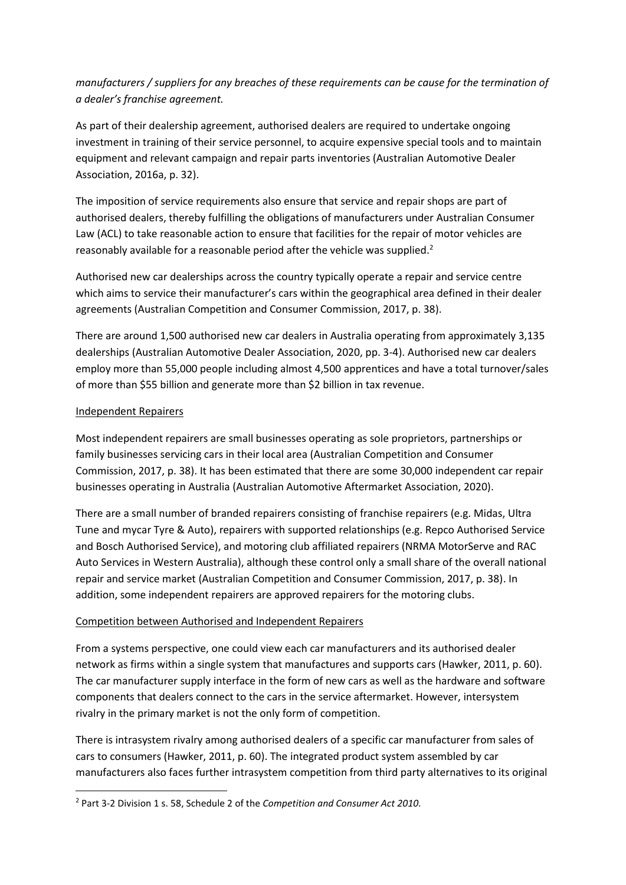*manufacturers / suppliers for any breaches of these requirements can be cause for the termination of a dealer's franchise agreement.*

As part of their dealership agreement, authorised dealers are required to undertake ongoing investment in training of their service personnel, to acquire expensive special tools and to maintain equipment and relevant campaign and repair parts inventories (Australian Automotive Dealer Association, 2016a, p. 32).

The imposition of service requirements also ensure that service and repair shops are part of authorised dealers, thereby fulfilling the obligations of manufacturers under Australian Consumer Law (ACL) to take reasonable action to ensure that facilities for the repair of motor vehicles are reasonably available for a reasonable period after the vehicle was supplied.<sup>2</sup>

Authorised new car dealerships across the country typically operate a repair and service centre which aims to service their manufacturer's cars within the geographical area defined in their dealer agreements (Australian Competition and Consumer Commission, 2017, p. 38).

There are around 1,500 authorised new car dealers in Australia operating from approximately 3,135 dealerships (Australian Automotive Dealer Association, 2020, pp. 3-4). Authorised new car dealers employ more than 55,000 people including almost 4,500 apprentices and have a total turnover/sales of more than \$55 billion and generate more than \$2 billion in tax revenue.

### Independent Repairers

Most independent repairers are small businesses operating as sole proprietors, partnerships or family businesses servicing cars in their local area (Australian Competition and Consumer Commission, 2017, p. 38). It has been estimated that there are some 30,000 independent car repair businesses operating in Australia (Australian Automotive Aftermarket Association, 2020).

There are a small number of branded repairers consisting of franchise repairers (e.g. Midas, Ultra Tune and mycar Tyre & Auto), repairers with supported relationships (e.g. Repco Authorised Service and Bosch Authorised Service), and motoring club affiliated repairers (NRMA MotorServe and RAC Auto Services in Western Australia), although these control only a small share of the overall national repair and service market (Australian Competition and Consumer Commission, 2017, p. 38). In addition, some independent repairers are approved repairers for the motoring clubs.

## Competition between Authorised and Independent Repairers

From a systems perspective, one could view each car manufacturers and its authorised dealer network as firms within a single system that manufactures and supports cars (Hawker, 2011, p. 60). The car manufacturer supply interface in the form of new cars as well as the hardware and software components that dealers connect to the cars in the service aftermarket. However, intersystem rivalry in the primary market is not the only form of competition.

There is intrasystem rivalry among authorised dealers of a specific car manufacturer from sales of cars to consumers (Hawker, 2011, p. 60). The integrated product system assembled by car manufacturers also faces further intrasystem competition from third party alternatives to its original

<sup>2</sup> Part 3-2 Division 1 s. 58, Schedule 2 of the *Competition and Consumer Act 2010.*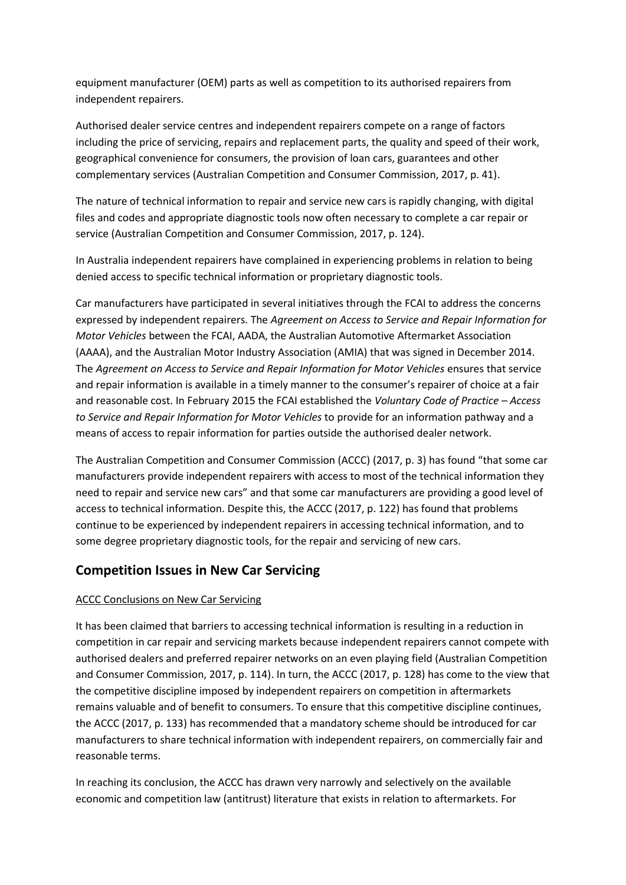equipment manufacturer (OEM) parts as well as competition to its authorised repairers from independent repairers.

Authorised dealer service centres and independent repairers compete on a range of factors including the price of servicing, repairs and replacement parts, the quality and speed of their work, geographical convenience for consumers, the provision of loan cars, guarantees and other complementary services (Australian Competition and Consumer Commission, 2017, p. 41).

The nature of technical information to repair and service new cars is rapidly changing, with digital files and codes and appropriate diagnostic tools now often necessary to complete a car repair or service (Australian Competition and Consumer Commission, 2017, p. 124).

In Australia independent repairers have complained in experiencing problems in relation to being denied access to specific technical information or proprietary diagnostic tools.

Car manufacturers have participated in several initiatives through the FCAI to address the concerns expressed by independent repairers. The *Agreement on Access to Service and Repair Information for Motor Vehicles* between the FCAI, AADA, the Australian Automotive Aftermarket Association (AAAA), and the Australian Motor Industry Association (AMIA) that was signed in December 2014. The *Agreement on Access to Service and Repair Information for Motor Vehicles* ensures that service and repair information is available in a timely manner to the consumer's repairer of choice at a fair and reasonable cost. In February 2015 the FCAI established the *Voluntary Code of Practice – Access to Service and Repair Information for Motor Vehicles* to provide for an information pathway and a means of access to repair information for parties outside the authorised dealer network.

The Australian Competition and Consumer Commission (ACCC) (2017, p. 3) has found "that some car manufacturers provide independent repairers with access to most of the technical information they need to repair and service new cars" and that some car manufacturers are providing a good level of access to technical information. Despite this, the ACCC (2017, p. 122) has found that problems continue to be experienced by independent repairers in accessing technical information, and to some degree proprietary diagnostic tools, for the repair and servicing of new cars.

## **Competition Issues in New Car Servicing**

## ACCC Conclusions on New Car Servicing

It has been claimed that barriers to accessing technical information is resulting in a reduction in competition in car repair and servicing markets because independent repairers cannot compete with authorised dealers and preferred repairer networks on an even playing field (Australian Competition and Consumer Commission, 2017, p. 114). In turn, the ACCC (2017, p. 128) has come to the view that the competitive discipline imposed by independent repairers on competition in aftermarkets remains valuable and of benefit to consumers. To ensure that this competitive discipline continues, the ACCC (2017, p. 133) has recommended that a mandatory scheme should be introduced for car manufacturers to share technical information with independent repairers, on commercially fair and reasonable terms.

In reaching its conclusion, the ACCC has drawn very narrowly and selectively on the available economic and competition law (antitrust) literature that exists in relation to aftermarkets. For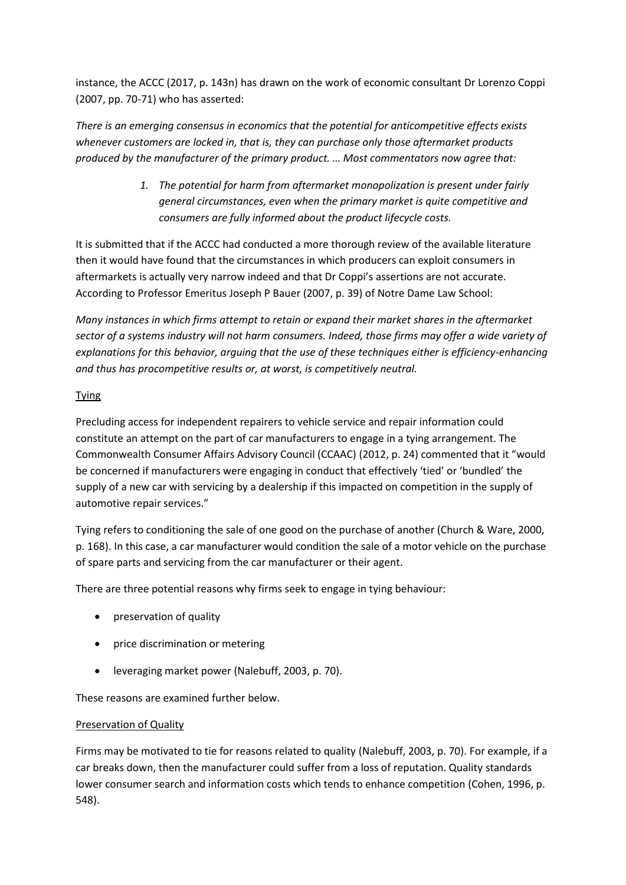instance, the ACCC (2017, p. 143n) has drawn on the work of economic consultant Dr Lorenzo Coppi (2007, pp. 70-71) who has asserted:

*There is an emerging consensus in economics that the potential for anticompetitive effects exists whenever customers are locked in, that is, they can purchase only those aftermarket products produced by the manufacturer of the primary product. … Most commentators now agree that:*

> *1. The potential for harm from aftermarket monopolization is present under fairly general circumstances, even when the primary market is quite competitive and consumers are fully informed about the product lifecycle costs.*

It is submitted that if the ACCC had conducted a more thorough review of the available literature then it would have found that the circumstances in which producers can exploit consumers in aftermarkets is actually very narrow indeed and that Dr Coppi's assertions are not accurate. According to Professor Emeritus Joseph P Bauer (2007, p. 39) of Notre Dame Law School:

*Many instances in which firms attempt to retain or expand their market shares in the aftermarket sector of a systems industry will not harm consumers. Indeed, those firms may offer a wide variety of explanations for this behavior, arguing that the use of these techniques either is efficiency-enhancing and thus has procompetitive results or, at worst, is competitively neutral.*

## **Tying**

Precluding access for independent repairers to vehicle service and repair information could constitute an attempt on the part of car manufacturers to engage in a tying arrangement. The Commonwealth Consumer Affairs Advisory Council (CCAAC) (2012, p. 24) commented that it "would be concerned if manufacturers were engaging in conduct that effectively 'tied' or 'bundled' the supply of a new car with servicing by a dealership if this impacted on competition in the supply of automotive repair services."

Tying refers to conditioning the sale of one good on the purchase of another (Church & Ware, 2000, p. 168). In this case, a car manufacturer would condition the sale of a motor vehicle on the purchase of spare parts and servicing from the car manufacturer or their agent.

There are three potential reasons why firms seek to engage in tying behaviour:

- preservation of quality
- price discrimination or metering
- leveraging market power (Nalebuff, 2003, p. 70).

These reasons are examined further below.

## Preservation of Quality

Firms may be motivated to tie for reasons related to quality (Nalebuff, 2003, p. 70). For example, if a car breaks down, then the manufacturer could suffer from a loss of reputation. Quality standards lower consumer search and information costs which tends to enhance competition (Cohen, 1996, p. 548).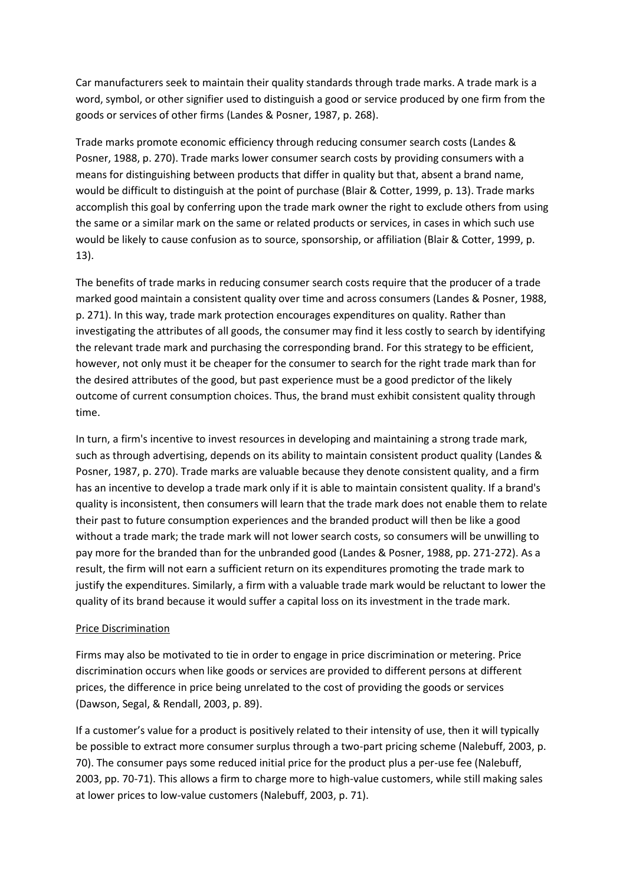Car manufacturers seek to maintain their quality standards through trade marks. A trade mark is a word, symbol, or other signifier used to distinguish a good or service produced by one firm from the goods or services of other firms (Landes & Posner, 1987, p. 268).

Trade marks promote economic efficiency through reducing consumer search costs (Landes & Posner, 1988, p. 270). Trade marks lower consumer search costs by providing consumers with a means for distinguishing between products that differ in quality but that, absent a brand name, would be difficult to distinguish at the point of purchase (Blair & Cotter, 1999, p. 13). Trade marks accomplish this goal by conferring upon the trade mark owner the right to exclude others from using the same or a similar mark on the same or related products or services, in cases in which such use would be likely to cause confusion as to source, sponsorship, or affiliation (Blair & Cotter, 1999, p. 13).

The benefits of trade marks in reducing consumer search costs require that the producer of a trade marked good maintain a consistent quality over time and across consumers (Landes & Posner, 1988, p. 271). In this way, trade mark protection encourages expenditures on quality. Rather than investigating the attributes of all goods, the consumer may find it less costly to search by identifying the relevant trade mark and purchasing the corresponding brand. For this strategy to be efficient, however, not only must it be cheaper for the consumer to search for the right trade mark than for the desired attributes of the good, but past experience must be a good predictor of the likely outcome of current consumption choices. Thus, the brand must exhibit consistent quality through time.

In turn, a firm's incentive to invest resources in developing and maintaining a strong trade mark, such as through advertising, depends on its ability to maintain consistent product quality (Landes & Posner, 1987, p. 270). Trade marks are valuable because they denote consistent quality, and a firm has an incentive to develop a trade mark only if it is able to maintain consistent quality. If a brand's quality is inconsistent, then consumers will learn that the trade mark does not enable them to relate their past to future consumption experiences and the branded product will then be like a good without a trade mark; the trade mark will not lower search costs, so consumers will be unwilling to pay more for the branded than for the unbranded good (Landes & Posner, 1988, pp. 271-272). As a result, the firm will not earn a sufficient return on its expenditures promoting the trade mark to justify the expenditures. Similarly, a firm with a valuable trade mark would be reluctant to lower the quality of its brand because it would suffer a capital loss on its investment in the trade mark.

#### Price Discrimination

Firms may also be motivated to tie in order to engage in price discrimination or metering. Price discrimination occurs when like goods or services are provided to different persons at different prices, the difference in price being unrelated to the cost of providing the goods or services (Dawson, Segal, & Rendall, 2003, p. 89).

If a customer's value for a product is positively related to their intensity of use, then it will typically be possible to extract more consumer surplus through a two-part pricing scheme (Nalebuff, 2003, p. 70). The consumer pays some reduced initial price for the product plus a per-use fee (Nalebuff, 2003, pp. 70-71). This allows a firm to charge more to high-value customers, while still making sales at lower prices to low-value customers (Nalebuff, 2003, p. 71).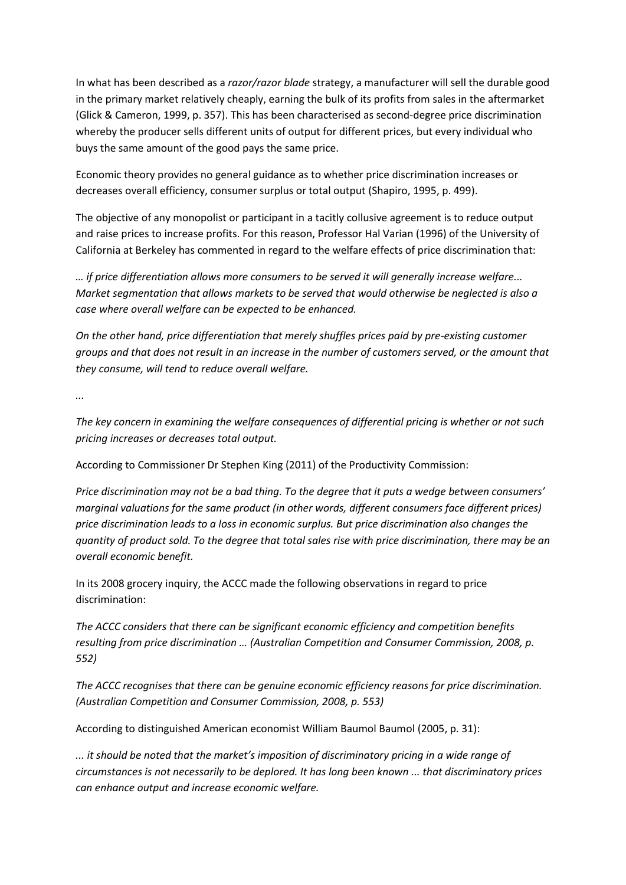In what has been described as a *razor/razor blade* strategy, a manufacturer will sell the durable good in the primary market relatively cheaply, earning the bulk of its profits from sales in the aftermarket (Glick & Cameron, 1999, p. 357). This has been characterised as second-degree price discrimination whereby the producer sells different units of output for different prices, but every individual who buys the same amount of the good pays the same price.

Economic theory provides no general guidance as to whether price discrimination increases or decreases overall efficiency, consumer surplus or total output (Shapiro, 1995, p. 499).

The objective of any monopolist or participant in a tacitly collusive agreement is to reduce output and raise prices to increase profits. For this reason, Professor Hal Varian (1996) of the University of California at Berkeley has commented in regard to the welfare effects of price discrimination that:

*… if price differentiation allows more consumers to be served it will generally increase welfare... Market segmentation that allows markets to be served that would otherwise be neglected is also a case where overall welfare can be expected to be enhanced.*

*On the other hand, price differentiation that merely shuffles prices paid by pre-existing customer groups and that does not result in an increase in the number of customers served, or the amount that they consume, will tend to reduce overall welfare.*

*...*

*The key concern in examining the welfare consequences of differential pricing is whether or not such pricing increases or decreases total output.*

According to Commissioner Dr Stephen King (2011) of the Productivity Commission:

*Price discrimination may not be a bad thing. To the degree that it puts a wedge between consumers' marginal valuations for the same product (in other words, different consumers face different prices) price discrimination leads to a loss in economic surplus. But price discrimination also changes the quantity of product sold. To the degree that total sales rise with price discrimination, there may be an overall economic benefit.*

In its 2008 grocery inquiry, the ACCC made the following observations in regard to price discrimination:

*The ACCC considers that there can be significant economic efficiency and competition benefits resulting from price discrimination … (Australian Competition and Consumer Commission, 2008, p. 552)*

*The ACCC recognises that there can be genuine economic efficiency reasons for price discrimination. (Australian Competition and Consumer Commission, 2008, p. 553)*

According to distinguished American economist William Baumol Baumol (2005, p. 31):

*... it should be noted that the market's imposition of discriminatory pricing in a wide range of circumstances is not necessarily to be deplored. It has long been known ... that discriminatory prices can enhance output and increase economic welfare.*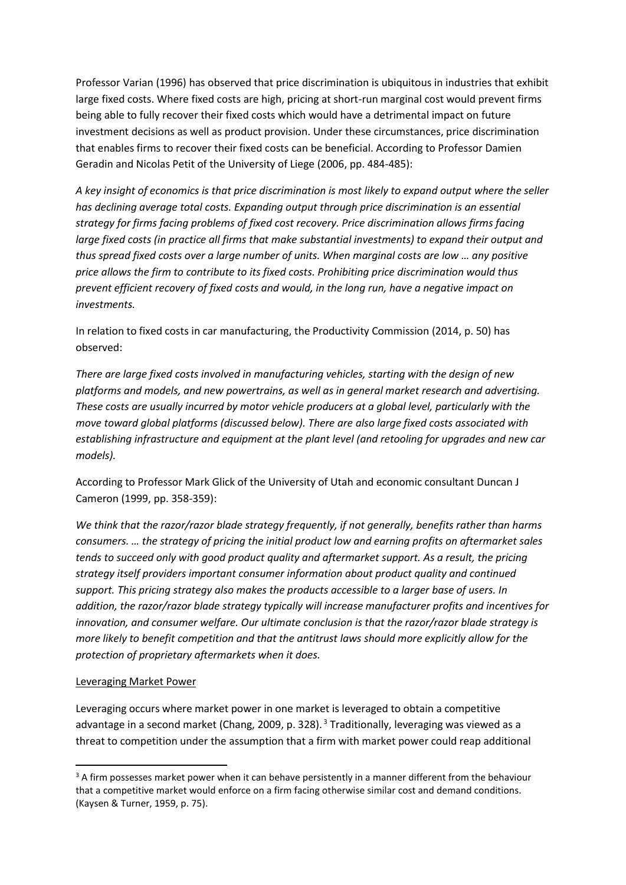Professor Varian (1996) has observed that price discrimination is ubiquitous in industries that exhibit large fixed costs. Where fixed costs are high, pricing at short-run marginal cost would prevent firms being able to fully recover their fixed costs which would have a detrimental impact on future investment decisions as well as product provision. Under these circumstances, price discrimination that enables firms to recover their fixed costs can be beneficial. According to Professor Damien Geradin and Nicolas Petit of the University of Liege (2006, pp. 484-485):

*A key insight of economics is that price discrimination is most likely to expand output where the seller has declining average total costs. Expanding output through price discrimination is an essential strategy for firms facing problems of fixed cost recovery. Price discrimination allows firms facing large fixed costs (in practice all firms that make substantial investments) to expand their output and thus spread fixed costs over a large number of units. When marginal costs are low … any positive price allows the firm to contribute to its fixed costs. Prohibiting price discrimination would thus prevent efficient recovery of fixed costs and would, in the long run, have a negative impact on investments.*

In relation to fixed costs in car manufacturing, the Productivity Commission (2014, p. 50) has observed:

*There are large fixed costs involved in manufacturing vehicles, starting with the design of new platforms and models, and new powertrains, as well as in general market research and advertising. These costs are usually incurred by motor vehicle producers at a global level, particularly with the move toward global platforms (discussed below). There are also large fixed costs associated with establishing infrastructure and equipment at the plant level (and retooling for upgrades and new car models).*

According to Professor Mark Glick of the University of Utah and economic consultant Duncan J Cameron (1999, pp. 358-359):

*We think that the razor/razor blade strategy frequently, if not generally, benefits rather than harms consumers. … the strategy of pricing the initial product low and earning profits on aftermarket sales tends to succeed only with good product quality and aftermarket support. As a result, the pricing strategy itself providers important consumer information about product quality and continued support. This pricing strategy also makes the products accessible to a larger base of users. In addition, the razor/razor blade strategy typically will increase manufacturer profits and incentives for innovation, and consumer welfare. Our ultimate conclusion is that the razor/razor blade strategy is more likely to benefit competition and that the antitrust laws should more explicitly allow for the protection of proprietary aftermarkets when it does.*

#### Leveraging Market Power

Leveraging occurs where market power in one market is leveraged to obtain a competitive advantage in a second market (Chang, 2009, p. 328).<sup>3</sup> Traditionally, leveraging was viewed as a threat to competition under the assumption that a firm with market power could reap additional

 $3$  A firm possesses market power when it can behave persistently in a manner different from the behaviour that a competitive market would enforce on a firm facing otherwise similar cost and demand conditions. (Kaysen & Turner, 1959, p. 75).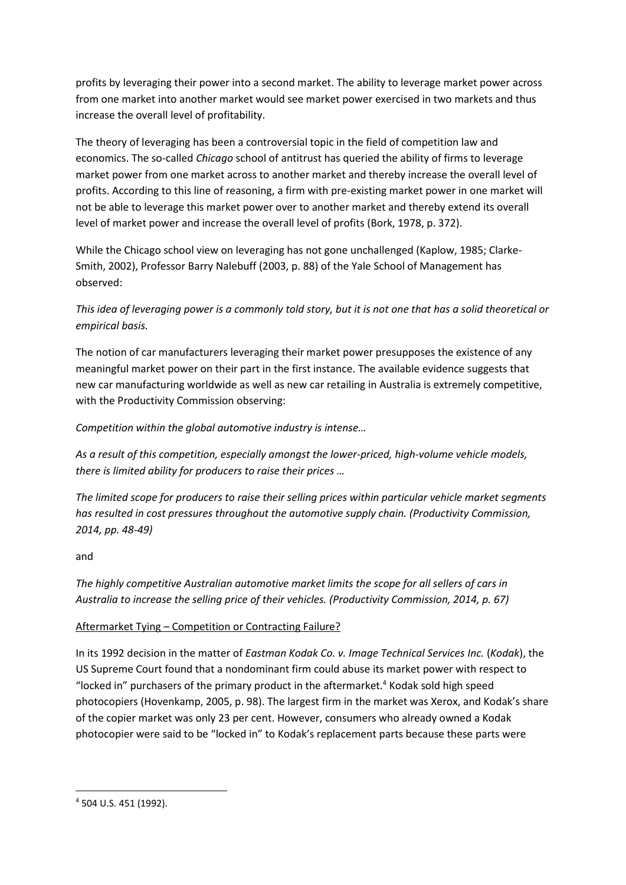profits by leveraging their power into a second market. The ability to leverage market power across from one market into another market would see market power exercised in two markets and thus increase the overall level of profitability.

The theory of leveraging has been a controversial topic in the field of competition law and economics. The so-called *Chicago* school of antitrust has queried the ability of firms to leverage market power from one market across to another market and thereby increase the overall level of profits. According to this line of reasoning, a firm with pre-existing market power in one market will not be able to leverage this market power over to another market and thereby extend its overall level of market power and increase the overall level of profits (Bork, 1978, p. 372).

While the Chicago school view on leveraging has not gone unchallenged (Kaplow, 1985; Clarke-Smith, 2002), Professor Barry Nalebuff (2003, p. 88) of the Yale School of Management has observed:

*This idea of leveraging power is a commonly told story, but it is not one that has a solid theoretical or empirical basis.*

The notion of car manufacturers leveraging their market power presupposes the existence of any meaningful market power on their part in the first instance. The available evidence suggests that new car manufacturing worldwide as well as new car retailing in Australia is extremely competitive, with the Productivity Commission observing:

*Competition within the global automotive industry is intense…*

*As a result of this competition, especially amongst the lower-priced, high-volume vehicle models, there is limited ability for producers to raise their prices …*

*The limited scope for producers to raise their selling prices within particular vehicle market segments has resulted in cost pressures throughout the automotive supply chain. (Productivity Commission, 2014, pp. 48-49)*

and

*The highly competitive Australian automotive market limits the scope for all sellers of cars in Australia to increase the selling price of their vehicles. (Productivity Commission, 2014, p. 67)*

## Aftermarket Tying – Competition or Contracting Failure?

In its 1992 decision in the matter of *Eastman Kodak Co. v. Image Technical Services Inc.* (*Kodak*), the US Supreme Court found that a nondominant firm could abuse its market power with respect to "locked in" purchasers of the primary product in the aftermarket.<sup>4</sup> Kodak sold high speed photocopiers (Hovenkamp, 2005, p. 98). The largest firm in the market was Xerox, and Kodak's share of the copier market was only 23 per cent. However, consumers who already owned a Kodak photocopier were said to be "locked in" to Kodak's replacement parts because these parts were

<sup>4</sup> 504 U.S. 451 (1992).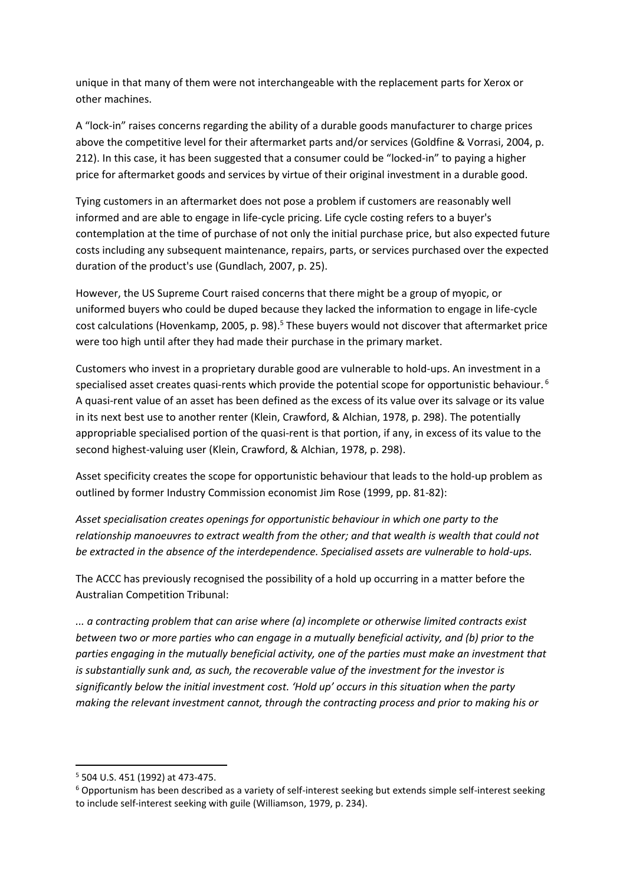unique in that many of them were not interchangeable with the replacement parts for Xerox or other machines.

A "lock-in" raises concerns regarding the ability of a durable goods manufacturer to charge prices above the competitive level for their aftermarket parts and/or services (Goldfine & Vorrasi, 2004, p. 212). In this case, it has been suggested that a consumer could be "locked-in" to paying a higher price for aftermarket goods and services by virtue of their original investment in a durable good.

Tying customers in an aftermarket does not pose a problem if customers are reasonably well informed and are able to engage in life-cycle pricing. Life cycle costing refers to a buyer's contemplation at the time of purchase of not only the initial purchase price, but also expected future costs including any subsequent maintenance, repairs, parts, or services purchased over the expected duration of the product's use (Gundlach, 2007, p. 25).

However, the US Supreme Court raised concerns that there might be a group of myopic, or uniformed buyers who could be duped because they lacked the information to engage in life-cycle cost calculations (Hovenkamp, 2005, p. 98). <sup>5</sup> These buyers would not discover that aftermarket price were too high until after they had made their purchase in the primary market.

Customers who invest in a proprietary durable good are vulnerable to hold-ups. An investment in a specialised asset creates quasi-rents which provide the potential scope for opportunistic behaviour.<sup>6</sup> A quasi-rent value of an asset has been defined as the excess of its value over its salvage or its value in its next best use to another renter (Klein, Crawford, & Alchian, 1978, p. 298). The potentially appropriable specialised portion of the quasi-rent is that portion, if any, in excess of its value to the second highest-valuing user (Klein, Crawford, & Alchian, 1978, p. 298).

Asset specificity creates the scope for opportunistic behaviour that leads to the hold-up problem as outlined by former Industry Commission economist Jim Rose (1999, pp. 81-82):

*Asset specialisation creates openings for opportunistic behaviour in which one party to the relationship manoeuvres to extract wealth from the other; and that wealth is wealth that could not be extracted in the absence of the interdependence. Specialised assets are vulnerable to hold-ups.* 

The ACCC has previously recognised the possibility of a hold up occurring in a matter before the Australian Competition Tribunal:

*... a contracting problem that can arise where (a) incomplete or otherwise limited contracts exist between two or more parties who can engage in a mutually beneficial activity, and (b) prior to the parties engaging in the mutually beneficial activity, one of the parties must make an investment that is substantially sunk and, as such, the recoverable value of the investment for the investor is significantly below the initial investment cost. 'Hold up' occurs in this situation when the party making the relevant investment cannot, through the contracting process and prior to making his or* 

<sup>5</sup> 504 U.S. 451 (1992) at 473-475.

<sup>6</sup> Opportunism has been described as a variety of self-interest seeking but extends simple self-interest seeking to include self-interest seeking with guile (Williamson, 1979, p. 234).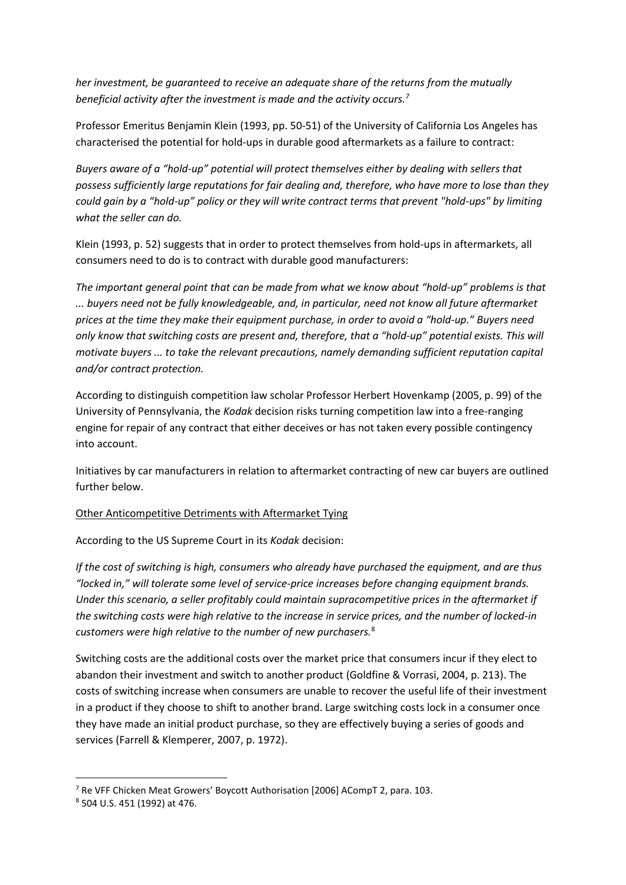*her investment, be guaranteed to receive an adequate share of the returns from the mutually beneficial activity after the investment is made and the activity occurs.<sup>7</sup>*

Professor Emeritus Benjamin Klein (1993, pp. 50-51) of the University of California Los Angeles has characterised the potential for hold-ups in durable good aftermarkets as a failure to contract:

*Buyers aware of a "hold-up" potential will protect themselves either by dealing with sellers that possess sufficiently large reputations for fair dealing and, therefore, who have more to lose than they could gain by a "hold-up" policy or they will write contract terms that prevent "hold-ups" by limiting what the seller can do.*

Klein (1993, p. 52) suggests that in order to protect themselves from hold-ups in aftermarkets, all consumers need to do is to contract with durable good manufacturers:

*The important general point that can be made from what we know about "hold-up" problems is that ... buyers need not be fully knowledgeable, and, in particular, need not know all future aftermarket prices at the time they make their equipment purchase, in order to avoid a "hold-up." Buyers need only know that switching costs are present and, therefore, that a "hold-up" potential exists. This will motivate buyers ... to take the relevant precautions, namely demanding sufficient reputation capital and/or contract protection.*

According to distinguish competition law scholar Professor Herbert Hovenkamp (2005, p. 99) of the University of Pennsylvania, the *Kodak* decision risks turning competition law into a free-ranging engine for repair of any contract that either deceives or has not taken every possible contingency into account.

Initiatives by car manufacturers in relation to aftermarket contracting of new car buyers are outlined further below.

Other Anticompetitive Detriments with Aftermarket Tying

According to the US Supreme Court in its *Kodak* decision:

*If the cost of switching is high, consumers who already have purchased the equipment, and are thus "locked in," will tolerate some level of service-price increases before changing equipment brands. Under this scenario, a seller profitably could maintain supracompetitive prices in the aftermarket if the switching costs were high relative to the increase in service prices, and the number of locked-in customers were high relative to the number of new purchasers.*<sup>8</sup>

Switching costs are the additional costs over the market price that consumers incur if they elect to abandon their investment and switch to another product (Goldfine & Vorrasi, 2004, p. 213). The costs of switching increase when consumers are unable to recover the useful life of their investment in a product if they choose to shift to another brand. Large switching costs lock in a consumer once they have made an initial product purchase, so they are effectively buying a series of goods and services (Farrell & Klemperer, 2007, p. 1972).

<sup>7</sup> Re VFF Chicken Meat Growers' Boycott Authorisation [2006] ACompT 2, para. 103.

<sup>8</sup> 504 U.S. 451 (1992) at 476.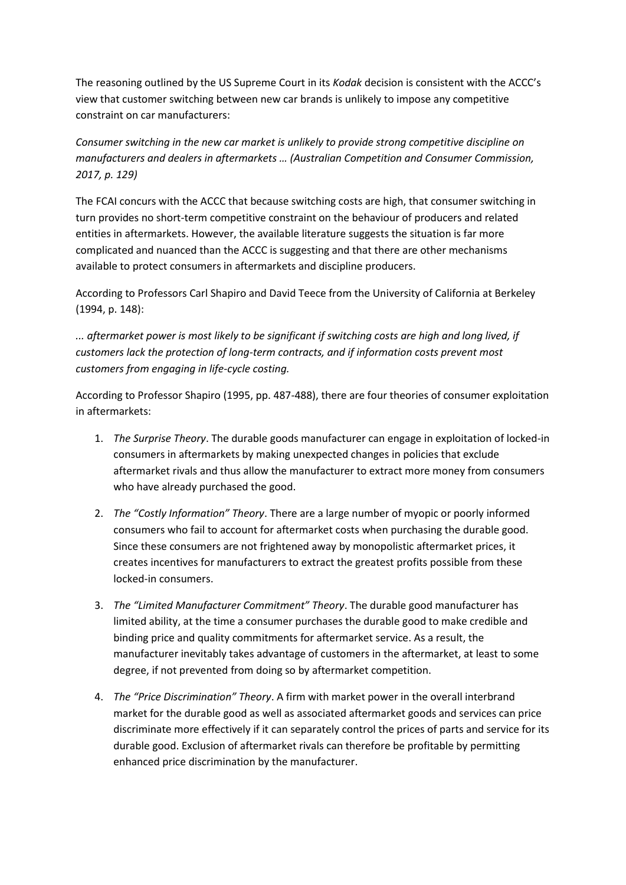The reasoning outlined by the US Supreme Court in its *Kodak* decision is consistent with the ACCC's view that customer switching between new car brands is unlikely to impose any competitive constraint on car manufacturers:

*Consumer switching in the new car market is unlikely to provide strong competitive discipline on manufacturers and dealers in aftermarkets … (Australian Competition and Consumer Commission, 2017, p. 129)*

The FCAI concurs with the ACCC that because switching costs are high, that consumer switching in turn provides no short-term competitive constraint on the behaviour of producers and related entities in aftermarkets. However, the available literature suggests the situation is far more complicated and nuanced than the ACCC is suggesting and that there are other mechanisms available to protect consumers in aftermarkets and discipline producers.

According to Professors Carl Shapiro and David Teece from the University of California at Berkeley (1994, p. 148):

*... aftermarket power is most likely to be significant if switching costs are high and long lived, if customers lack the protection of long-term contracts, and if information costs prevent most customers from engaging in life-cycle costing.*

According to Professor Shapiro (1995, pp. 487-488), there are four theories of consumer exploitation in aftermarkets:

- 1. *The Surprise Theory*. The durable goods manufacturer can engage in exploitation of locked-in consumers in aftermarkets by making unexpected changes in policies that exclude aftermarket rivals and thus allow the manufacturer to extract more money from consumers who have already purchased the good.
- 2. *The "Costly Information" Theory*. There are a large number of myopic or poorly informed consumers who fail to account for aftermarket costs when purchasing the durable good. Since these consumers are not frightened away by monopolistic aftermarket prices, it creates incentives for manufacturers to extract the greatest profits possible from these locked-in consumers.
- 3. *The "Limited Manufacturer Commitment" Theory*. The durable good manufacturer has limited ability, at the time a consumer purchases the durable good to make credible and binding price and quality commitments for aftermarket service. As a result, the manufacturer inevitably takes advantage of customers in the aftermarket, at least to some degree, if not prevented from doing so by aftermarket competition.
- 4. *The "Price Discrimination" Theory*. A firm with market power in the overall interbrand market for the durable good as well as associated aftermarket goods and services can price discriminate more effectively if it can separately control the prices of parts and service for its durable good. Exclusion of aftermarket rivals can therefore be profitable by permitting enhanced price discrimination by the manufacturer.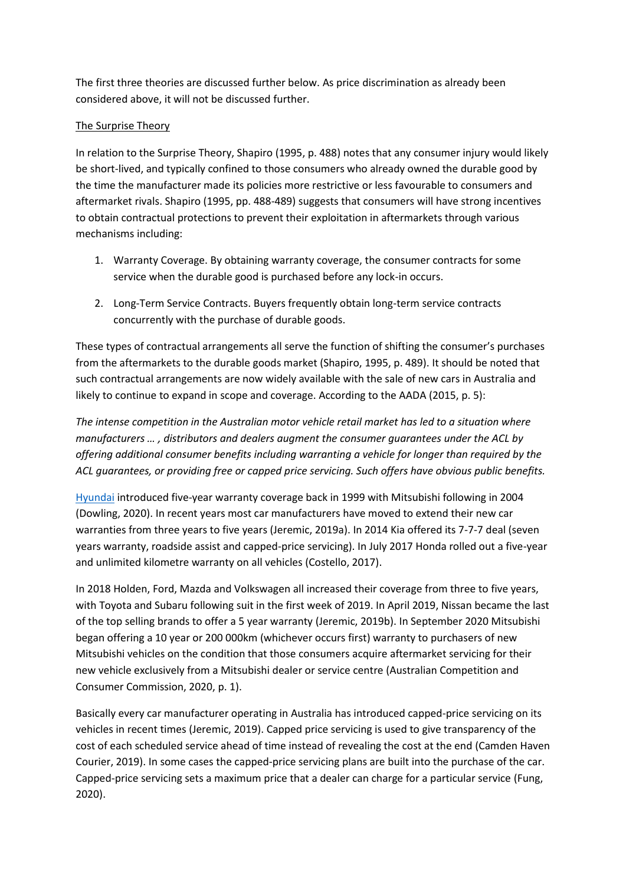The first three theories are discussed further below. As price discrimination as already been considered above, it will not be discussed further.

## The Surprise Theory

In relation to the Surprise Theory, Shapiro (1995, p. 488) notes that any consumer injury would likely be short-lived, and typically confined to those consumers who already owned the durable good by the time the manufacturer made its policies more restrictive or less favourable to consumers and aftermarket rivals. Shapiro (1995, pp. 488-489) suggests that consumers will have strong incentives to obtain contractual protections to prevent their exploitation in aftermarkets through various mechanisms including:

- 1. Warranty Coverage. By obtaining warranty coverage, the consumer contracts for some service when the durable good is purchased before any lock-in occurs.
- 2. Long-Term Service Contracts. Buyers frequently obtain long-term service contracts concurrently with the purchase of durable goods.

These types of contractual arrangements all serve the function of shifting the consumer's purchases from the aftermarkets to the durable goods market (Shapiro, 1995, p. 489). It should be noted that such contractual arrangements are now widely available with the sale of new cars in Australia and likely to continue to expand in scope and coverage. According to the AADA (2015, p. 5):

*The intense competition in the Australian motor vehicle retail market has led to a situation where manufacturers … , distributors and dealers augment the consumer guarantees under the ACL by offering additional consumer benefits including warranting a vehicle for longer than required by the ACL guarantees, or providing free or capped price servicing. Such offers have obvious public benefits.*

[Hyundai](https://www.caradvice.com.au/hyundai/) introduced five-year warranty coverage back in 1999 with Mitsubishi following in 2004 (Dowling, 2020). In recent years most car manufacturers have moved to extend their new car warranties from three years to five years (Jeremic, 2019a). In 2014 Kia offered its 7-7-7 deal (seven years warranty, roadside assist and capped-price servicing). In July 2017 Honda rolled out a five-year and unlimited kilometre warranty on all vehicles (Costello, 2017).

In 2018 Holden, Ford, Mazda and Volkswagen all increased their coverage from three to five years, with Toyota and Subaru following suit in the first week of 2019. In April 2019, Nissan became the last of the top selling brands to offer a 5 year warranty (Jeremic, 2019b). In September 2020 Mitsubishi began offering a 10 year or 200 000km (whichever occurs first) warranty to purchasers of new Mitsubishi vehicles on the condition that those consumers acquire aftermarket servicing for their new vehicle exclusively from a Mitsubishi dealer or service centre (Australian Competition and Consumer Commission, 2020, p. 1).

Basically every car manufacturer operating in Australia has introduced capped-price servicing on its vehicles in recent times (Jeremic, 2019). Capped price servicing is used to give transparency of the cost of each scheduled service ahead of time instead of revealing the cost at the end (Camden Haven Courier, 2019). In some cases the capped-price servicing plans are built into the purchase of the car. Capped-price servicing sets a maximum price that a dealer can charge for a particular service (Fung, 2020).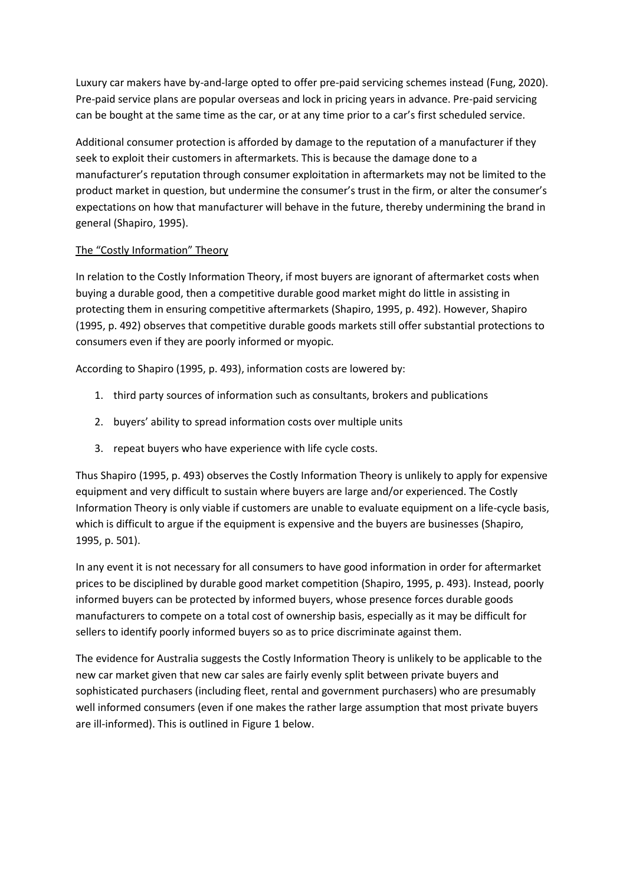Luxury car makers have by-and-large opted to offer pre-paid servicing schemes instead (Fung, 2020). Pre-paid service plans are popular overseas and lock in pricing years in advance. Pre-paid servicing can be bought at the same time as the car, or at any time prior to a car's first scheduled service.

Additional consumer protection is afforded by damage to the reputation of a manufacturer if they seek to exploit their customers in aftermarkets. This is because the damage done to a manufacturer's reputation through consumer exploitation in aftermarkets may not be limited to the product market in question, but undermine the consumer's trust in the firm, or alter the consumer's expectations on how that manufacturer will behave in the future, thereby undermining the brand in general (Shapiro, 1995).

## The "Costly Information" Theory

In relation to the Costly Information Theory, if most buyers are ignorant of aftermarket costs when buying a durable good, then a competitive durable good market might do little in assisting in protecting them in ensuring competitive aftermarkets (Shapiro, 1995, p. 492). However, Shapiro (1995, p. 492) observes that competitive durable goods markets still offer substantial protections to consumers even if they are poorly informed or myopic.

According to Shapiro (1995, p. 493), information costs are lowered by:

- 1. third party sources of information such as consultants, brokers and publications
- 2. buyers' ability to spread information costs over multiple units
- 3. repeat buyers who have experience with life cycle costs.

Thus Shapiro (1995, p. 493) observes the Costly Information Theory is unlikely to apply for expensive equipment and very difficult to sustain where buyers are large and/or experienced. The Costly Information Theory is only viable if customers are unable to evaluate equipment on a life-cycle basis, which is difficult to argue if the equipment is expensive and the buyers are businesses (Shapiro, 1995, p. 501).

In any event it is not necessary for all consumers to have good information in order for aftermarket prices to be disciplined by durable good market competition (Shapiro, 1995, p. 493). Instead, poorly informed buyers can be protected by informed buyers, whose presence forces durable goods manufacturers to compete on a total cost of ownership basis, especially as it may be difficult for sellers to identify poorly informed buyers so as to price discriminate against them.

The evidence for Australia suggests the Costly Information Theory is unlikely to be applicable to the new car market given that new car sales are fairly evenly split between private buyers and sophisticated purchasers (including fleet, rental and government purchasers) who are presumably well informed consumers (even if one makes the rather large assumption that most private buyers are ill-informed). This is outlined in Figure 1 below.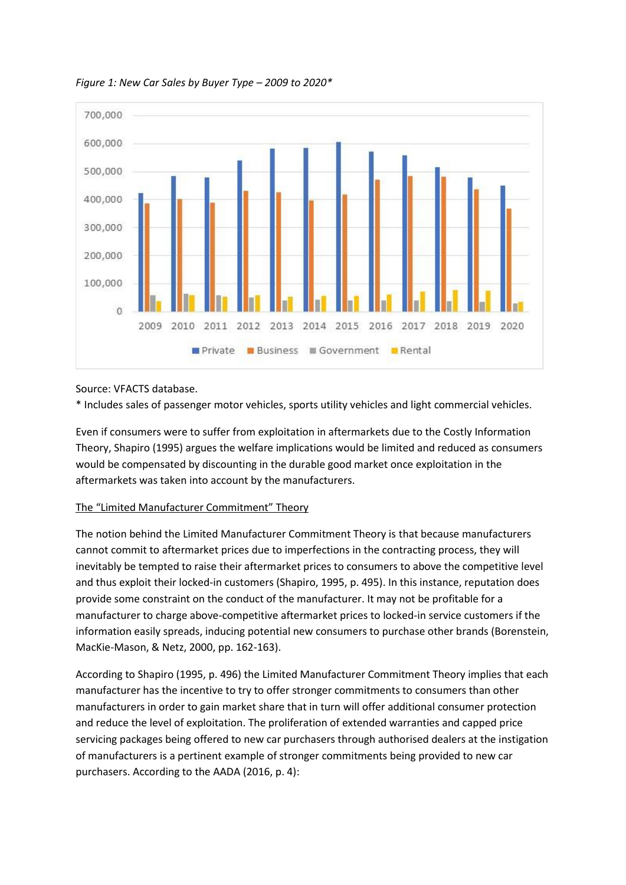

*Figure 1: New Car Sales by Buyer Type – 2009 to 2020\**

Source: VFACTS database.

\* Includes sales of passenger motor vehicles, sports utility vehicles and light commercial vehicles.

Even if consumers were to suffer from exploitation in aftermarkets due to the Costly Information Theory, Shapiro (1995) argues the welfare implications would be limited and reduced as consumers would be compensated by discounting in the durable good market once exploitation in the aftermarkets was taken into account by the manufacturers.

## The "Limited Manufacturer Commitment" Theory

The notion behind the Limited Manufacturer Commitment Theory is that because manufacturers cannot commit to aftermarket prices due to imperfections in the contracting process, they will inevitably be tempted to raise their aftermarket prices to consumers to above the competitive level and thus exploit their locked-in customers (Shapiro, 1995, p. 495). In this instance, reputation does provide some constraint on the conduct of the manufacturer. It may not be profitable for a manufacturer to charge above-competitive aftermarket prices to locked-in service customers if the information easily spreads, inducing potential new consumers to purchase other brands (Borenstein, MacKie-Mason, & Netz, 2000, pp. 162-163).

According to Shapiro (1995, p. 496) the Limited Manufacturer Commitment Theory implies that each manufacturer has the incentive to try to offer stronger commitments to consumers than other manufacturers in order to gain market share that in turn will offer additional consumer protection and reduce the level of exploitation. The proliferation of extended warranties and capped price servicing packages being offered to new car purchasers through authorised dealers at the instigation of manufacturers is a pertinent example of stronger commitments being provided to new car purchasers. According to the AADA (2016, p. 4):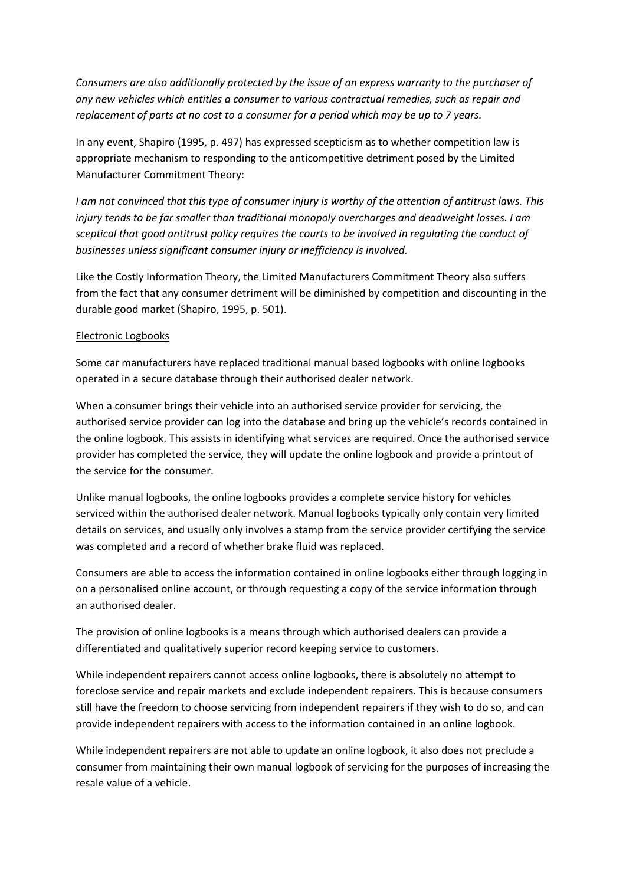*Consumers are also additionally protected by the issue of an express warranty to the purchaser of any new vehicles which entitles a consumer to various contractual remedies, such as repair and replacement of parts at no cost to a consumer for a period which may be up to 7 years.*

In any event, Shapiro (1995, p. 497) has expressed scepticism as to whether competition law is appropriate mechanism to responding to the anticompetitive detriment posed by the Limited Manufacturer Commitment Theory:

*I am not convinced that this type of consumer injury is worthy of the attention of antitrust laws. This injury tends to be far smaller than traditional monopoly overcharges and deadweight losses. I am sceptical that good antitrust policy requires the courts to be involved in regulating the conduct of businesses unless significant consumer injury or inefficiency is involved.*

Like the Costly Information Theory, the Limited Manufacturers Commitment Theory also suffers from the fact that any consumer detriment will be diminished by competition and discounting in the durable good market (Shapiro, 1995, p. 501).

### Electronic Logbooks

Some car manufacturers have replaced traditional manual based logbooks with online logbooks operated in a secure database through their authorised dealer network.

When a consumer brings their vehicle into an authorised service provider for servicing, the authorised service provider can log into the database and bring up the vehicle's records contained in the online logbook. This assists in identifying what services are required. Once the authorised service provider has completed the service, they will update the online logbook and provide a printout of the service for the consumer.

Unlike manual logbooks, the online logbooks provides a complete service history for vehicles serviced within the authorised dealer network. Manual logbooks typically only contain very limited details on services, and usually only involves a stamp from the service provider certifying the service was completed and a record of whether brake fluid was replaced.

Consumers are able to access the information contained in online logbooks either through logging in on a personalised online account, or through requesting a copy of the service information through an authorised dealer.

The provision of online logbooks is a means through which authorised dealers can provide a differentiated and qualitatively superior record keeping service to customers.

While independent repairers cannot access online logbooks, there is absolutely no attempt to foreclose service and repair markets and exclude independent repairers. This is because consumers still have the freedom to choose servicing from independent repairers if they wish to do so, and can provide independent repairers with access to the information contained in an online logbook.

While independent repairers are not able to update an online logbook, it also does not preclude a consumer from maintaining their own manual logbook of servicing for the purposes of increasing the resale value of a vehicle.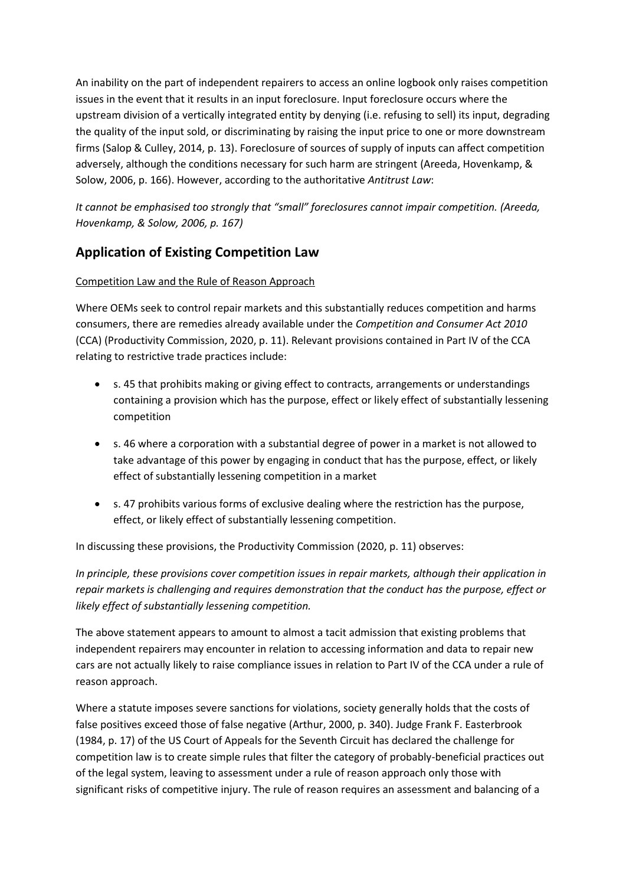An inability on the part of independent repairers to access an online logbook only raises competition issues in the event that it results in an input foreclosure. Input foreclosure occurs where the upstream division of a vertically integrated entity by denying (i.e. refusing to sell) its input, degrading the quality of the input sold, or discriminating by raising the input price to one or more downstream firms (Salop & Culley, 2014, p. 13). Foreclosure of sources of supply of inputs can affect competition adversely, although the conditions necessary for such harm are stringent (Areeda, Hovenkamp, & Solow, 2006, p. 166). However, according to the authoritative *Antitrust Law*:

*It cannot be emphasised too strongly that "small" foreclosures cannot impair competition. (Areeda, Hovenkamp, & Solow, 2006, p. 167)*

# **Application of Existing Competition Law**

## Competition Law and the Rule of Reason Approach

Where OEMs seek to control repair markets and this substantially reduces competition and harms consumers, there are remedies already available under the *Competition and Consumer Act 2010* (CCA) (Productivity Commission, 2020, p. 11). Relevant provisions contained in Part IV of the CCA relating to restrictive trade practices include:

- s. 45 that prohibits making or giving effect to contracts, arrangements or understandings containing a provision which has the purpose, effect or likely effect of substantially lessening competition
- s. 46 where a corporation with a substantial degree of power in a market is not allowed to take advantage of this power by engaging in conduct that has the purpose, effect, or likely effect of substantially lessening competition in a market
- s. 47 prohibits various forms of exclusive dealing where the restriction has the purpose, effect, or likely effect of substantially lessening competition.

In discussing these provisions, the Productivity Commission (2020, p. 11) observes:

*In principle, these provisions cover competition issues in repair markets, although their application in repair markets is challenging and requires demonstration that the conduct has the purpose, effect or likely effect of substantially lessening competition.*

The above statement appears to amount to almost a tacit admission that existing problems that independent repairers may encounter in relation to accessing information and data to repair new cars are not actually likely to raise compliance issues in relation to Part IV of the CCA under a rule of reason approach.

Where a statute imposes severe sanctions for violations, society generally holds that the costs of false positives exceed those of false negative (Arthur, 2000, p. 340). Judge Frank F. Easterbrook (1984, p. 17) of the US Court of Appeals for the Seventh Circuit has declared the challenge for competition law is to create simple rules that filter the category of probably-beneficial practices out of the legal system, leaving to assessment under a rule of reason approach only those with significant risks of competitive injury. The rule of reason requires an assessment and balancing of a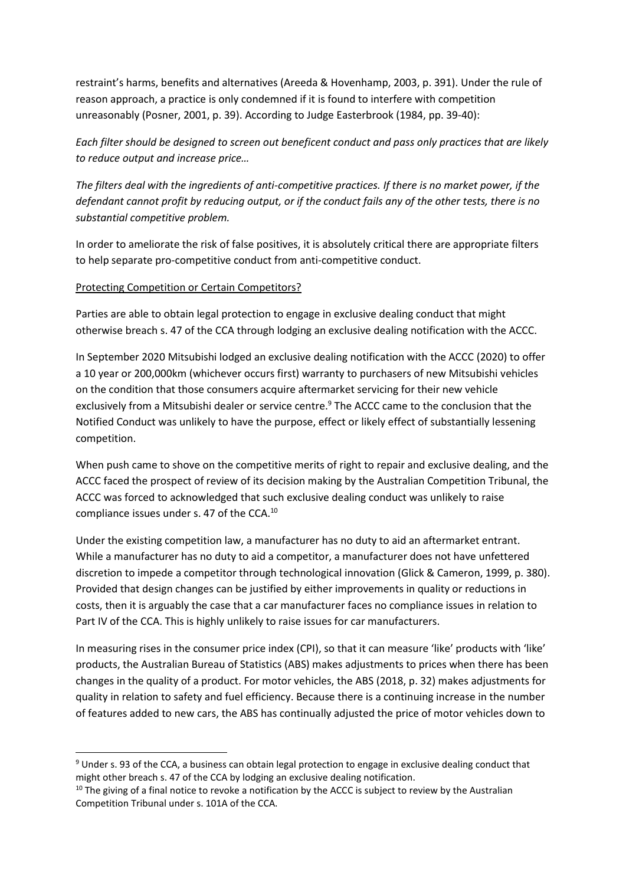restraint's harms, benefits and alternatives (Areeda & Hovenhamp, 2003, p. 391). Under the rule of reason approach, a practice is only condemned if it is found to interfere with competition unreasonably (Posner, 2001, p. 39). According to Judge Easterbrook (1984, pp. 39-40):

*Each filter should be designed to screen out beneficent conduct and pass only practices that are likely to reduce output and increase price…*

*The filters deal with the ingredients of anti-competitive practices. If there is no market power, if the defendant cannot profit by reducing output, or if the conduct fails any of the other tests, there is no substantial competitive problem.*

In order to ameliorate the risk of false positives, it is absolutely critical there are appropriate filters to help separate pro-competitive conduct from anti-competitive conduct.

## Protecting Competition or Certain Competitors?

Parties are able to obtain legal protection to engage in exclusive dealing conduct that might otherwise breach s. 47 of the CCA through lodging an exclusive dealing notification with the ACCC.

In September 2020 Mitsubishi lodged an exclusive dealing notification with the ACCC (2020) to offer a 10 year or 200,000km (whichever occurs first) warranty to purchasers of new Mitsubishi vehicles on the condition that those consumers acquire aftermarket servicing for their new vehicle exclusively from a Mitsubishi dealer or service centre.<sup>9</sup> The ACCC came to the conclusion that the Notified Conduct was unlikely to have the purpose, effect or likely effect of substantially lessening competition.

When push came to shove on the competitive merits of right to repair and exclusive dealing, and the ACCC faced the prospect of review of its decision making by the Australian Competition Tribunal, the ACCC was forced to acknowledged that such exclusive dealing conduct was unlikely to raise compliance issues under s. 47 of the CCA.<sup>10</sup>

Under the existing competition law, a manufacturer has no duty to aid an aftermarket entrant. While a manufacturer has no duty to aid a competitor, a manufacturer does not have unfettered discretion to impede a competitor through technological innovation (Glick & Cameron, 1999, p. 380). Provided that design changes can be justified by either improvements in quality or reductions in costs, then it is arguably the case that a car manufacturer faces no compliance issues in relation to Part IV of the CCA. This is highly unlikely to raise issues for car manufacturers.

In measuring rises in the consumer price index (CPI), so that it can measure 'like' products with 'like' products, the Australian Bureau of Statistics (ABS) makes adjustments to prices when there has been changes in the quality of a product. For motor vehicles, the ABS (2018, p. 32) makes adjustments for quality in relation to safety and fuel efficiency. Because there is a continuing increase in the number of features added to new cars, the ABS has continually adjusted the price of motor vehicles down to

<sup>&</sup>lt;sup>9</sup> Under s. 93 of the CCA, a business can obtain legal protection to engage in exclusive dealing conduct that might other breach s. 47 of the CCA by lodging an exclusive dealing notification.

<sup>&</sup>lt;sup>10</sup> The giving of a final notice to revoke a notification by the ACCC is subject to review by the Australian Competition Tribunal under s. 101A of the CCA.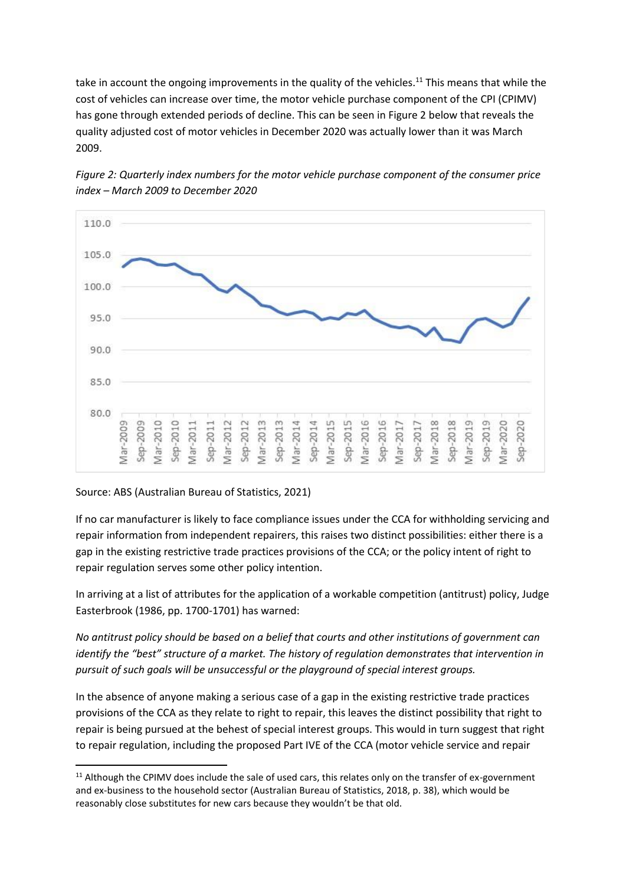take in account the ongoing improvements in the quality of the vehicles.<sup>11</sup> This means that while the cost of vehicles can increase over time, the motor vehicle purchase component of the CPI (CPIMV) has gone through extended periods of decline. This can be seen in Figure 2 below that reveals the quality adjusted cost of motor vehicles in December 2020 was actually lower than it was March 2009.



*Figure 2: Quarterly index numbers for the motor vehicle purchase component of the consumer price index – March 2009 to December 2020*

#### Source: ABS (Australian Bureau of Statistics, 2021)

If no car manufacturer is likely to face compliance issues under the CCA for withholding servicing and repair information from independent repairers, this raises two distinct possibilities: either there is a gap in the existing restrictive trade practices provisions of the CCA; or the policy intent of right to repair regulation serves some other policy intention.

In arriving at a list of attributes for the application of a workable competition (antitrust) policy, Judge Easterbrook (1986, pp. 1700-1701) has warned:

*No antitrust policy should be based on a belief that courts and other institutions of government can identify the "best" structure of a market. The history of regulation demonstrates that intervention in pursuit of such goals will be unsuccessful or the playground of special interest groups.*

In the absence of anyone making a serious case of a gap in the existing restrictive trade practices provisions of the CCA as they relate to right to repair, this leaves the distinct possibility that right to repair is being pursued at the behest of special interest groups. This would in turn suggest that right to repair regulation, including the proposed Part IVE of the CCA (motor vehicle service and repair

<sup>&</sup>lt;sup>11</sup> Although the CPIMV does include the sale of used cars, this relates only on the transfer of ex-government and ex-business to the household sector (Australian Bureau of Statistics, 2018, p. 38), which would be reasonably close substitutes for new cars because they wouldn't be that old.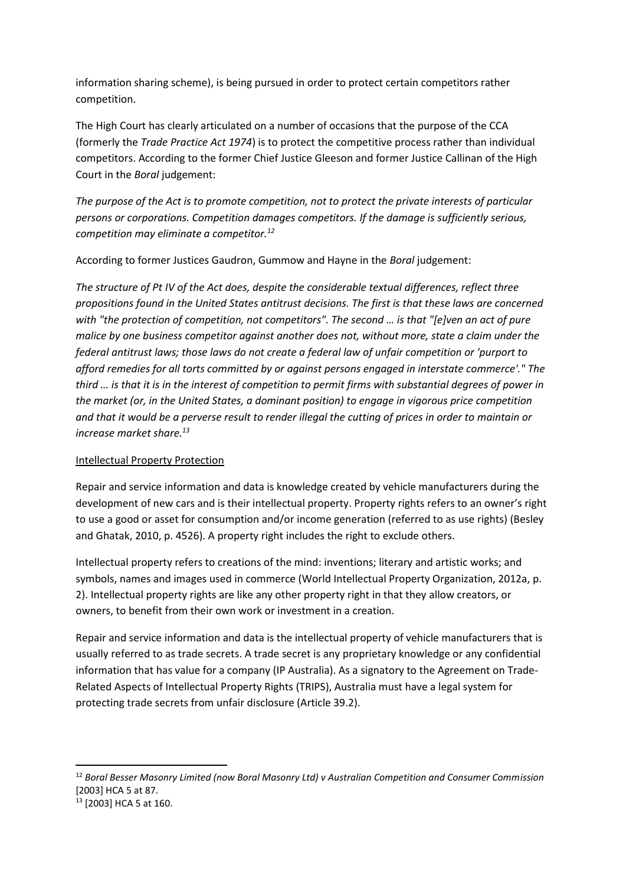information sharing scheme), is being pursued in order to protect certain competitors rather competition.

The High Court has clearly articulated on a number of occasions that the purpose of the CCA (formerly the *Trade Practice Act 1974*) is to protect the competitive process rather than individual competitors. According to the former Chief Justice Gleeson and former Justice Callinan of the High Court in the *Boral* judgement:

*The purpose of the Act is to promote competition, not to protect the private interests of particular persons or corporations. Competition damages competitors. If the damage is sufficiently serious, competition may eliminate a competitor.<sup>12</sup>*

According to former Justices Gaudron, Gummow and Hayne in the *Boral* judgement:

*The structure of Pt IV of the Act does, despite the considerable textual differences, reflect three propositions found in the United States antitrust decisions. The first is that these laws are concerned with "the protection of competition, not competitors". The second … is that "[e]ven an act of pure malice by one business competitor against another does not, without more, state a claim under the federal antitrust laws; those laws do not create a federal law of unfair competition or 'purport to afford remedies for all torts committed by or against persons engaged in interstate commerce'." The third … is that it is in the interest of competition to permit firms with substantial degrees of power in the market (or, in the United States, a dominant position) to engage in vigorous price competition and that it would be a perverse result to render illegal the cutting of prices in order to maintain or increase market share.<sup>13</sup>*

## Intellectual Property Protection

Repair and service information and data is knowledge created by vehicle manufacturers during the development of new cars and is their intellectual property. Property rights refers to an owner's right to use a good or asset for consumption and/or income generation (referred to as use rights) (Besley and Ghatak, 2010, p. 4526). A property right includes the right to exclude others.

Intellectual property refers to creations of the mind: inventions; literary and artistic works; and symbols, names and images used in commerce (World Intellectual Property Organization, 2012a, p. 2). Intellectual property rights are like any other property right in that they allow creators, or owners, to benefit from their own work or investment in a creation.

Repair and service information and data is the intellectual property of vehicle manufacturers that is usually referred to as trade secrets. A trade secret is any proprietary knowledge or any confidential information that has value for a company (IP Australia). As a signatory to the Agreement on Trade-Related Aspects of Intellectual Property Rights (TRIPS), Australia must have a legal system for protecting trade secrets from unfair disclosure (Article 39.2).

<sup>12</sup> *Boral Besser Masonry Limited (now Boral Masonry Ltd) v Australian Competition and Consumer Commission*  [2003] HCA 5 at 87.

<sup>13</sup> [2003] HCA 5 at 160.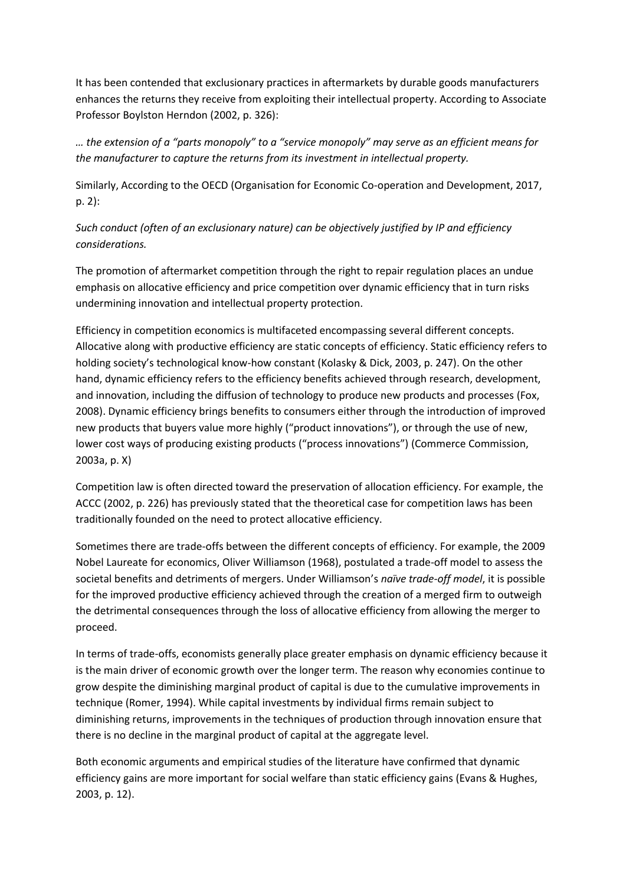It has been contended that exclusionary practices in aftermarkets by durable goods manufacturers enhances the returns they receive from exploiting their intellectual property. According to Associate Professor Boylston Herndon (2002, p. 326):

*… the extension of a "parts monopoly" to a "service monopoly" may serve as an efficient means for the manufacturer to capture the returns from its investment in intellectual property.*

Similarly, According to the OECD (Organisation for Economic Co-operation and Development, 2017, p. 2):

*Such conduct (often of an exclusionary nature) can be objectively justified by IP and efficiency considerations.* 

The promotion of aftermarket competition through the right to repair regulation places an undue emphasis on allocative efficiency and price competition over dynamic efficiency that in turn risks undermining innovation and intellectual property protection.

Efficiency in competition economics is multifaceted encompassing several different concepts. Allocative along with productive efficiency are static concepts of efficiency. Static efficiency refers to holding society's technological know-how constant (Kolasky & Dick, 2003, p. 247). On the other hand, dynamic efficiency refers to the efficiency benefits achieved through research, development, and innovation, including the diffusion of technology to produce new products and processes (Fox, 2008). Dynamic efficiency brings benefits to consumers either through the introduction of improved new products that buyers value more highly ("product innovations"), or through the use of new, lower cost ways of producing existing products ("process innovations") (Commerce Commission, 2003a, p. X)

Competition law is often directed toward the preservation of allocation efficiency. For example, the ACCC (2002, p. 226) has previously stated that the theoretical case for competition laws has been traditionally founded on the need to protect allocative efficiency.

Sometimes there are trade-offs between the different concepts of efficiency. For example, the 2009 Nobel Laureate for economics, Oliver Williamson (1968), postulated a trade-off model to assess the societal benefits and detriments of mergers. Under Williamson's *naïve trade-off model*, it is possible for the improved productive efficiency achieved through the creation of a merged firm to outweigh the detrimental consequences through the loss of allocative efficiency from allowing the merger to proceed.

In terms of trade-offs, economists generally place greater emphasis on dynamic efficiency because it is the main driver of economic growth over the longer term. The reason why economies continue to grow despite the diminishing marginal product of capital is due to the cumulative improvements in technique (Romer, 1994). While capital investments by individual firms remain subject to diminishing returns, improvements in the techniques of production through innovation ensure that there is no decline in the marginal product of capital at the aggregate level.

Both economic arguments and empirical studies of the literature have confirmed that dynamic efficiency gains are more important for social welfare than static efficiency gains (Evans & Hughes, 2003, p. 12).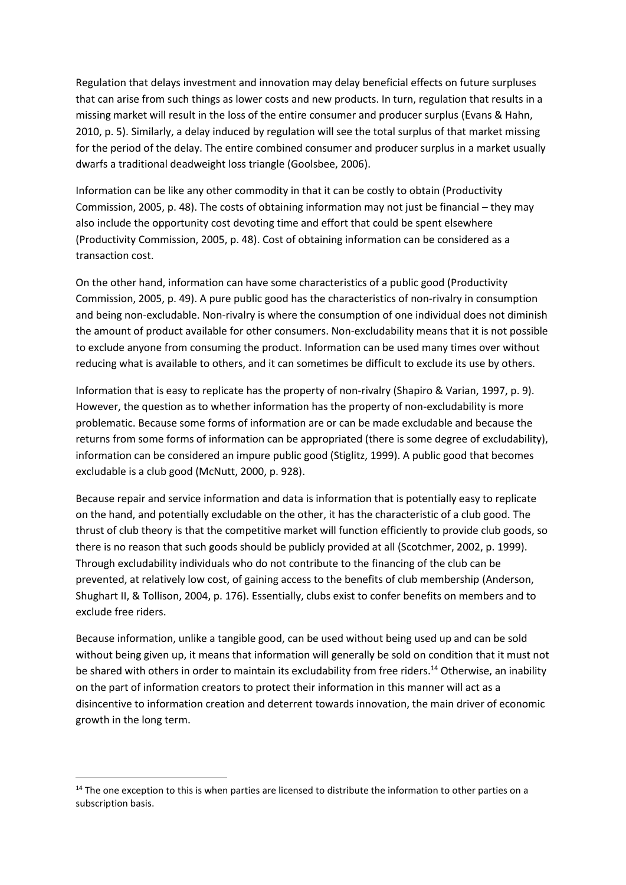Regulation that delays investment and innovation may delay beneficial effects on future surpluses that can arise from such things as lower costs and new products. In turn, regulation that results in a missing market will result in the loss of the entire consumer and producer surplus (Evans & Hahn, 2010, p. 5). Similarly, a delay induced by regulation will see the total surplus of that market missing for the period of the delay. The entire combined consumer and producer surplus in a market usually dwarfs a traditional deadweight loss triangle (Goolsbee, 2006).

Information can be like any other commodity in that it can be costly to obtain (Productivity Commission, 2005, p. 48). The costs of obtaining information may not just be financial – they may also include the opportunity cost devoting time and effort that could be spent elsewhere (Productivity Commission, 2005, p. 48). Cost of obtaining information can be considered as a transaction cost.

On the other hand, information can have some characteristics of a public good (Productivity Commission, 2005, p. 49). A pure public good has the characteristics of non-rivalry in consumption and being non-excludable. Non-rivalry is where the consumption of one individual does not diminish the amount of product available for other consumers. Non-excludability means that it is not possible to exclude anyone from consuming the product. Information can be used many times over without reducing what is available to others, and it can sometimes be difficult to exclude its use by others.

Information that is easy to replicate has the property of non-rivalry (Shapiro & Varian, 1997, p. 9). However, the question as to whether information has the property of non-excludability is more problematic. Because some forms of information are or can be made excludable and because the returns from some forms of information can be appropriated (there is some degree of excludability), information can be considered an impure public good (Stiglitz, 1999). A public good that becomes excludable is a club good (McNutt, 2000, p. 928).

Because repair and service information and data is information that is potentially easy to replicate on the hand, and potentially excludable on the other, it has the characteristic of a club good. The thrust of club theory is that the competitive market will function efficiently to provide club goods, so there is no reason that such goods should be publicly provided at all (Scotchmer, 2002, p. 1999). Through excludability individuals who do not contribute to the financing of the club can be prevented, at relatively low cost, of gaining access to the benefits of club membership (Anderson, Shughart II, & Tollison, 2004, p. 176). Essentially, clubs exist to confer benefits on members and to exclude free riders.

Because information, unlike a tangible good, can be used without being used up and can be sold without being given up, it means that information will generally be sold on condition that it must not be shared with others in order to maintain its excludability from free riders.<sup>14</sup> Otherwise, an inability on the part of information creators to protect their information in this manner will act as a disincentive to information creation and deterrent towards innovation, the main driver of economic growth in the long term.

 $14$  The one exception to this is when parties are licensed to distribute the information to other parties on a subscription basis.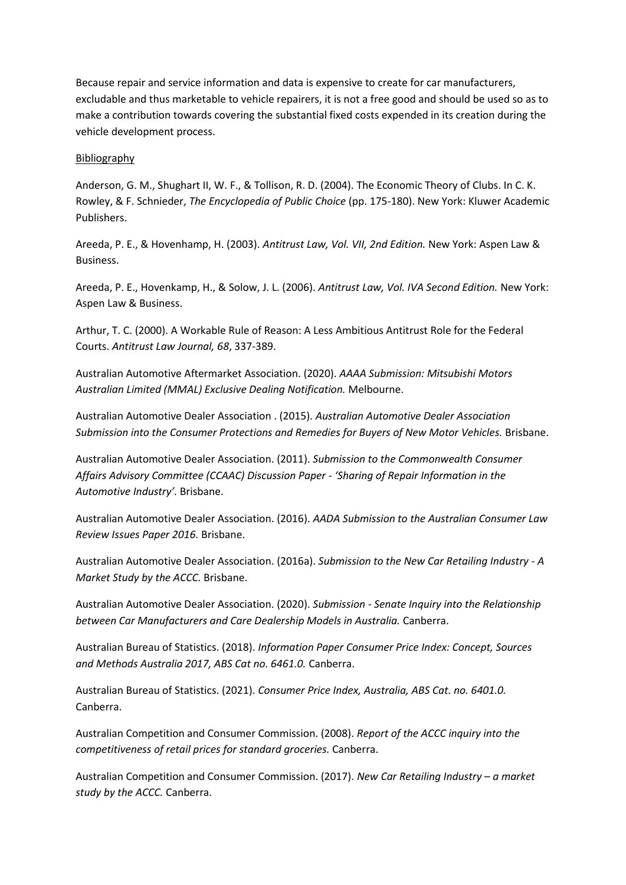Because repair and service information and data is expensive to create for car manufacturers, excludable and thus marketable to vehicle repairers, it is not a free good and should be used so as to make a contribution towards covering the substantial fixed costs expended in its creation during the vehicle development process.

#### Bibliography

Anderson, G. M., Shughart II, W. F., & Tollison, R. D. (2004). The Economic Theory of Clubs. In C. K. Rowley, & F. Schnieder, *The Encyclopedia of Public Choice* (pp. 175-180). New York: Kluwer Academic Publishers.

Areeda, P. E., & Hovenhamp, H. (2003). *Antitrust Law, Vol. VII, 2nd Edition.* New York: Aspen Law & Business.

Areeda, P. E., Hovenkamp, H., & Solow, J. L. (2006). *Antitrust Law, Vol. IVA Second Edition.* New York: Aspen Law & Business.

Arthur, T. C. (2000). A Workable Rule of Reason: A Less Ambitious Antitrust Role for the Federal Courts. *Antitrust Law Journal, 68*, 337-389.

Australian Automotive Aftermarket Association. (2020). *AAAA Submission: Mitsubishi Motors Australian Limited (MMAL) Exclusive Dealing Notification.* Melbourne.

Australian Automotive Dealer Association . (2015). *Australian Automotive Dealer Association Submission into the Consumer Protections and Remedies for Buyers of New Motor Vehicles.* Brisbane.

Australian Automotive Dealer Association. (2011). *Submission to the Commonwealth Consumer Affairs Advisory Committee (CCAAC) Discussion Paper - 'Sharing of Repair Information in the Automotive Industry'.* Brisbane.

Australian Automotive Dealer Association. (2016). *AADA Submission to the Australian Consumer Law Review Issues Paper 2016.* Brisbane.

Australian Automotive Dealer Association. (2016a). *Submission to the New Car Retailing Industry - A Market Study by the ACCC.* Brisbane.

Australian Automotive Dealer Association. (2020). *Submission - Senate Inquiry into the Relationship between Car Manufacturers and Care Dealership Models in Australia.* Canberra.

Australian Bureau of Statistics. (2018). *Information Paper Consumer Price Index: Concept, Sources and Methods Australia 2017, ABS Cat no. 6461.0.* Canberra.

Australian Bureau of Statistics. (2021). *Consumer Price Index, Australia, ABS Cat. no. 6401.0.* Canberra.

Australian Competition and Consumer Commission. (2008). *Report of the ACCC inquiry into the competitiveness of retail prices for standard groceries.* Canberra.

Australian Competition and Consumer Commission. (2017). *New Car Retailing Industry – a market study by the ACCC.* Canberra.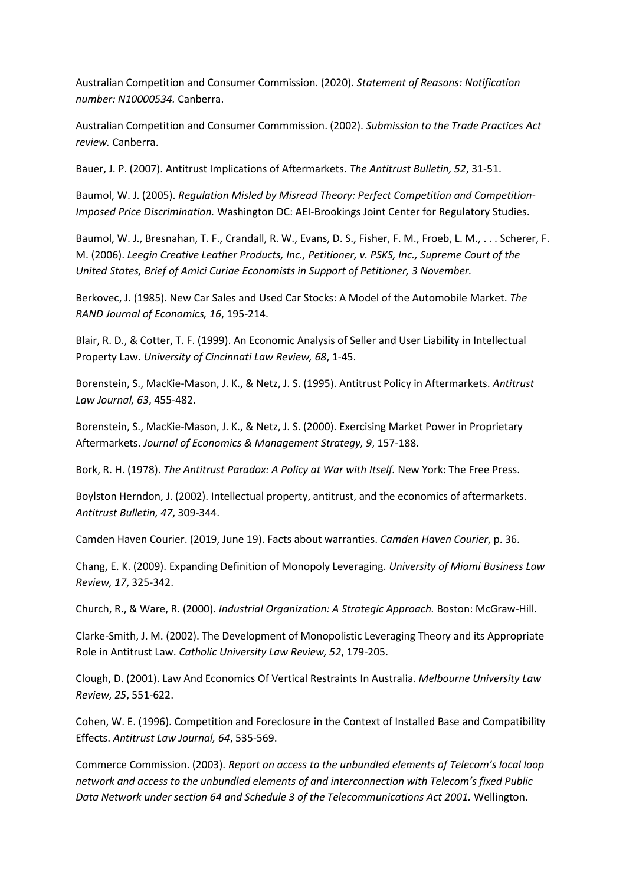Australian Competition and Consumer Commission. (2020). *Statement of Reasons: Notification number: N10000534.* Canberra.

Australian Competition and Consumer Commmission. (2002). *Submission to the Trade Practices Act review.* Canberra.

Bauer, J. P. (2007). Antitrust Implications of Aftermarkets. *The Antitrust Bulletin, 52*, 31-51.

Baumol, W. J. (2005). *Regulation Misled by Misread Theory: Perfect Competition and Competition-Imposed Price Discrimination.* Washington DC: AEI-Brookings Joint Center for Regulatory Studies.

Baumol, W. J., Bresnahan, T. F., Crandall, R. W., Evans, D. S., Fisher, F. M., Froeb, L. M., . . . Scherer, F. M. (2006). *Leegin Creative Leather Products, Inc., Petitioner, v. PSKS, Inc., Supreme Court of the United States, Brief of Amici Curiae Economists in Support of Petitioner, 3 November.*

Berkovec, J. (1985). New Car Sales and Used Car Stocks: A Model of the Automobile Market. *The RAND Journal of Economics, 16*, 195-214.

Blair, R. D., & Cotter, T. F. (1999). An Economic Analysis of Seller and User Liability in Intellectual Property Law. *University of Cincinnati Law Review, 68*, 1-45.

Borenstein, S., MacKie-Mason, J. K., & Netz, J. S. (1995). Antitrust Policy in Aftermarkets. *Antitrust Law Journal, 63*, 455-482.

Borenstein, S., MacKie-Mason, J. K., & Netz, J. S. (2000). Exercising Market Power in Proprietary Aftermarkets. *Journal of Economics & Management Strategy, 9*, 157-188.

Bork, R. H. (1978). *The Antitrust Paradox: A Policy at War with Itself.* New York: The Free Press.

Boylston Herndon, J. (2002). Intellectual property, antitrust, and the economics of aftermarkets. *Antitrust Bulletin, 47*, 309-344.

Camden Haven Courier. (2019, June 19). Facts about warranties. *Camden Haven Courier*, p. 36.

Chang, E. K. (2009). Expanding Definition of Monopoly Leveraging. *University of Miami Business Law Review, 17*, 325-342.

Church, R., & Ware, R. (2000). *Industrial Organization: A Strategic Approach.* Boston: McGraw-Hill.

Clarke-Smith, J. M. (2002). The Development of Monopolistic Leveraging Theory and its Appropriate Role in Antitrust Law. *Catholic University Law Review, 52*, 179-205.

Clough, D. (2001). Law And Economics Of Vertical Restraints In Australia. *Melbourne University Law Review, 25*, 551-622.

Cohen, W. E. (1996). Competition and Foreclosure in the Context of Installed Base and Compatibility Effects. *Antitrust Law Journal, 64*, 535-569.

Commerce Commission. (2003). *Report on access to the unbundled elements of Telecom's local loop network and access to the unbundled elements of and interconnection with Telecom's fixed Public Data Network under section 64 and Schedule 3 of the Telecommunications Act 2001.* Wellington.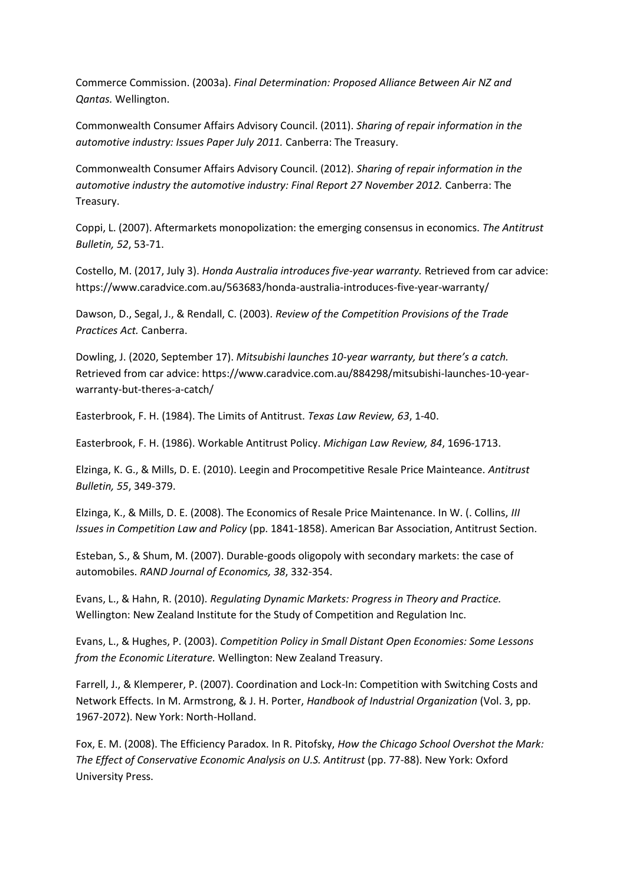Commerce Commission. (2003a). *Final Determination: Proposed Alliance Between Air NZ and Qantas.* Wellington.

Commonwealth Consumer Affairs Advisory Council. (2011). *Sharing of repair information in the automotive industry: Issues Paper July 2011.* Canberra: The Treasury.

Commonwealth Consumer Affairs Advisory Council. (2012). *Sharing of repair information in the automotive industry the automotive industry: Final Report 27 November 2012.* Canberra: The Treasury.

Coppi, L. (2007). Aftermarkets monopolization: the emerging consensus in economics. *The Antitrust Bulletin, 52*, 53-71.

Costello, M. (2017, July 3). *Honda Australia introduces five-year warranty.* Retrieved from car advice: https://www.caradvice.com.au/563683/honda-australia-introduces-five-year-warranty/

Dawson, D., Segal, J., & Rendall, C. (2003). *Review of the Competition Provisions of the Trade Practices Act.* Canberra.

Dowling, J. (2020, September 17). *Mitsubishi launches 10-year warranty, but there's a catch.* Retrieved from car advice: https://www.caradvice.com.au/884298/mitsubishi-launches-10-yearwarranty-but-theres-a-catch/

Easterbrook, F. H. (1984). The Limits of Antitrust. *Texas Law Review, 63*, 1-40.

Easterbrook, F. H. (1986). Workable Antitrust Policy. *Michigan Law Review, 84*, 1696-1713.

Elzinga, K. G., & Mills, D. E. (2010). Leegin and Procompetitive Resale Price Mainteance. *Antitrust Bulletin, 55*, 349-379.

Elzinga, K., & Mills, D. E. (2008). The Economics of Resale Price Maintenance. In W. (. Collins, *III Issues in Competition Law and Policy* (pp. 1841-1858). American Bar Association, Antitrust Section.

Esteban, S., & Shum, M. (2007). Durable-goods oligopoly with secondary markets: the case of automobiles. *RAND Journal of Economics, 38*, 332-354.

Evans, L., & Hahn, R. (2010). *Regulating Dynamic Markets: Progress in Theory and Practice.* Wellington: New Zealand Institute for the Study of Competition and Regulation Inc.

Evans, L., & Hughes, P. (2003). *Competition Policy in Small Distant Open Economies: Some Lessons from the Economic Literature.* Wellington: New Zealand Treasury.

Farrell, J., & Klemperer, P. (2007). Coordination and Lock-In: Competition with Switching Costs and Network Effects. In M. Armstrong, & J. H. Porter, *Handbook of Industrial Organization* (Vol. 3, pp. 1967-2072). New York: North-Holland.

Fox, E. M. (2008). The Efficiency Paradox. In R. Pitofsky, *How the Chicago School Overshot the Mark: The Effect of Conservative Economic Analysis on U.S. Antitrust* (pp. 77-88). New York: Oxford University Press.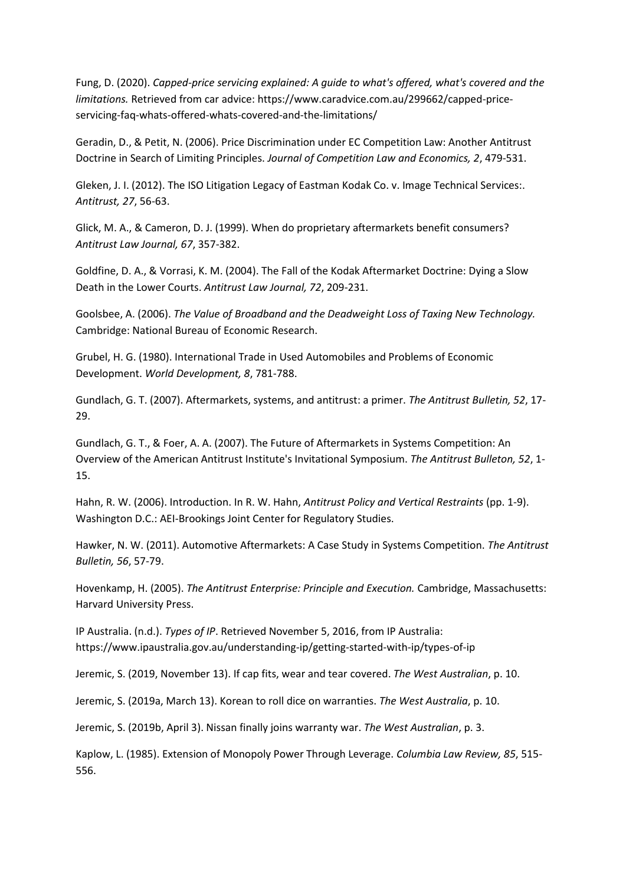Fung, D. (2020). *Capped-price servicing explained: A guide to what's offered, what's covered and the limitations.* Retrieved from car advice: https://www.caradvice.com.au/299662/capped-priceservicing-faq-whats-offered-whats-covered-and-the-limitations/

Geradin, D., & Petit, N. (2006). Price Discrimination under EC Competition Law: Another Antitrust Doctrine in Search of Limiting Principles. *Journal of Competition Law and Economics, 2*, 479-531.

Gleken, J. I. (2012). The ISO Litigation Legacy of Eastman Kodak Co. v. Image Technical Services:. *Antitrust, 27*, 56-63.

Glick, M. A., & Cameron, D. J. (1999). When do proprietary aftermarkets benefit consumers? *Antitrust Law Journal, 67*, 357-382.

Goldfine, D. A., & Vorrasi, K. M. (2004). The Fall of the Kodak Aftermarket Doctrine: Dying a Slow Death in the Lower Courts. *Antitrust Law Journal, 72*, 209-231.

Goolsbee, A. (2006). *The Value of Broadband and the Deadweight Loss of Taxing New Technology.* Cambridge: National Bureau of Economic Research.

Grubel, H. G. (1980). International Trade in Used Automobiles and Problems of Economic Development. *World Development, 8*, 781-788.

Gundlach, G. T. (2007). Aftermarkets, systems, and antitrust: a primer. *The Antitrust Bulletin, 52*, 17- 29.

Gundlach, G. T., & Foer, A. A. (2007). The Future of Aftermarkets in Systems Competition: An Overview of the American Antitrust Institute's Invitational Symposium. *The Antitrust Bulleton, 52*, 1- 15.

Hahn, R. W. (2006). Introduction. In R. W. Hahn, *Antitrust Policy and Vertical Restraints* (pp. 1-9). Washington D.C.: AEI-Brookings Joint Center for Regulatory Studies.

Hawker, N. W. (2011). Automotive Aftermarkets: A Case Study in Systems Competition. *The Antitrust Bulletin, 56*, 57-79.

Hovenkamp, H. (2005). *The Antitrust Enterprise: Principle and Execution.* Cambridge, Massachusetts: Harvard University Press.

IP Australia. (n.d.). *Types of IP*. Retrieved November 5, 2016, from IP Australia: https://www.ipaustralia.gov.au/understanding-ip/getting-started-with-ip/types-of-ip

Jeremic, S. (2019, November 13). If cap fits, wear and tear covered. *The West Australian*, p. 10.

Jeremic, S. (2019a, March 13). Korean to roll dice on warranties. *The West Australia*, p. 10.

Jeremic, S. (2019b, April 3). Nissan finally joins warranty war. *The West Australian*, p. 3.

Kaplow, L. (1985). Extension of Monopoly Power Through Leverage. *Columbia Law Review, 85*, 515- 556.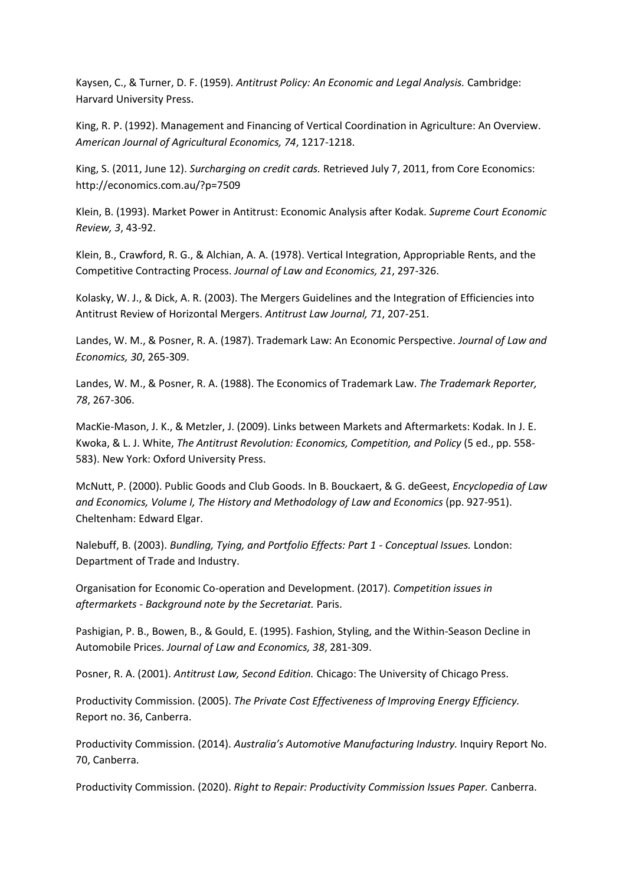Kaysen, C., & Turner, D. F. (1959). *Antitrust Policy: An Economic and Legal Analysis.* Cambridge: Harvard University Press.

King, R. P. (1992). Management and Financing of Vertical Coordination in Agriculture: An Overview. *American Journal of Agricultural Economics, 74*, 1217-1218.

King, S. (2011, June 12). *Surcharging on credit cards.* Retrieved July 7, 2011, from Core Economics: http://economics.com.au/?p=7509

Klein, B. (1993). Market Power in Antitrust: Economic Analysis after Kodak. *Supreme Court Economic Review, 3*, 43-92.

Klein, B., Crawford, R. G., & Alchian, A. A. (1978). Vertical Integration, Appropriable Rents, and the Competitive Contracting Process. *Journal of Law and Economics, 21*, 297-326.

Kolasky, W. J., & Dick, A. R. (2003). The Mergers Guidelines and the Integration of Efficiencies into Antitrust Review of Horizontal Mergers. *Antitrust Law Journal, 71*, 207-251.

Landes, W. M., & Posner, R. A. (1987). Trademark Law: An Economic Perspective. *Journal of Law and Economics, 30*, 265-309.

Landes, W. M., & Posner, R. A. (1988). The Economics of Trademark Law. *The Trademark Reporter, 78*, 267-306.

MacKie-Mason, J. K., & Metzler, J. (2009). Links between Markets and Aftermarkets: Kodak. In J. E. Kwoka, & L. J. White, *The Antitrust Revolution: Economics, Competition, and Policy* (5 ed., pp. 558- 583). New York: Oxford University Press.

McNutt, P. (2000). Public Goods and Club Goods. In B. Bouckaert, & G. deGeest, *Encyclopedia of Law and Economics, Volume I, The History and Methodology of Law and Economics* (pp. 927-951). Cheltenham: Edward Elgar.

Nalebuff, B. (2003). *Bundling, Tying, and Portfolio Effects: Part 1 - Conceptual Issues.* London: Department of Trade and Industry.

Organisation for Economic Co-operation and Development. (2017). *Competition issues in aftermarkets - Background note by the Secretariat.* Paris.

Pashigian, P. B., Bowen, B., & Gould, E. (1995). Fashion, Styling, and the Within-Season Decline in Automobile Prices. *Journal of Law and Economics, 38*, 281-309.

Posner, R. A. (2001). *Antitrust Law, Second Edition.* Chicago: The University of Chicago Press.

Productivity Commission. (2005). *The Private Cost Effectiveness of Improving Energy Efficiency.* Report no. 36, Canberra.

Productivity Commission. (2014). *Australia's Automotive Manufacturing Industry.* Inquiry Report No. 70, Canberra.

Productivity Commission. (2020). *Right to Repair: Productivity Commission Issues Paper.* Canberra.